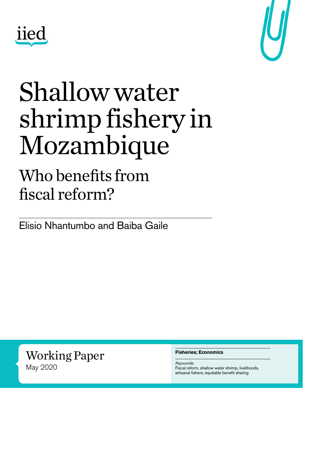



## Shallow water shrimp fishery in Mozambique

### Who benefits from fiscal reform?

Elisio Nhantumbo and Baiba Gaile

Working Paper May 2020

#### **Fisheries; Economics**

*Keywords:* Fiscal reform, shallow water shrimp, livelihoods, artisanal fishers, equitable benefit sharing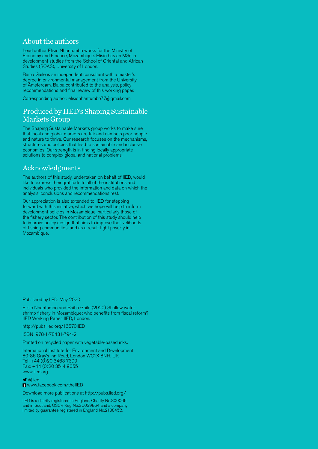#### About the authors

Lead author Elisio Nhantumbo works for the Ministry of Economy and Finance, Mozambique. Elisio has an MSc in development studies from the School of Oriental and African Studies (SOAS), University of London.

Baiba Gaile is an independent consultant with a master's degree in environmental management from the University of Amsterdam. Baiba contributed to the analysis, policy recommendations and final review of this working paper.

Corresponding author: [elisionhantumbo77@gmail.com](mailto:elisionhantumbo77%40gmail.com?subject=)

#### Produced by IIED's Shaping Sustainable Markets Group

The Shaping Sustainable Markets group works to make sure that local and global markets are fair and can help poor people and nature to thrive. Our research focuses on the mechanisms, structures and policies that lead to sustainable and inclusive economies. Our strength is in finding locally appropriate solutions to complex global and national problems.

#### Acknowledgments

The authors of this study, undertaken on behalf of IIED, would like to express their gratitude to all of the institutions and individuals who provided the information and data on which the analysis, conclusions and recommendations rest.

Our appreciation is also extended to IIED for stepping forward with this initiative, which we hope will help to inform development policies in Mozambique, particularly those of the fishery sector. The contribution of this study should help to improve policy design that aims to improve the livelihoods of fishing communities, and as a result fight poverty in Mozambique.

Published by IIED, May 2020

Elisio Nhantumbo and Baiba Gaile (2020) Shallow water shrimp fishery in Mozambique: who benefits from fiscal reform? IIED Working Paper, IIED, London.

<http://pubs.iied.org/16670IIED>

ISBN: 978-1-78431-794-2

Printed on recycled paper with vegetable-based inks.

International Institute for Environment and Development 80-86 Gray's Inn Road, London WC1X 8NH, UK Tel: +44 (0)20 3463 7399 Fax: +44 (0)20 3514 9055 [www.iied.org](http://www.iied.org)

 [@iied](https://twitter.com/iied) **El** [www.facebook.com/theIIED](http://www.facebook.com/theIIED)

Download more publications at<http://pubs.iied.org/>

IIED is a charity registered in England, Charity No.800066 and in Scotland, OSCR Reg No.SC039864 and a company limited by guarantee registered in England No.2188452.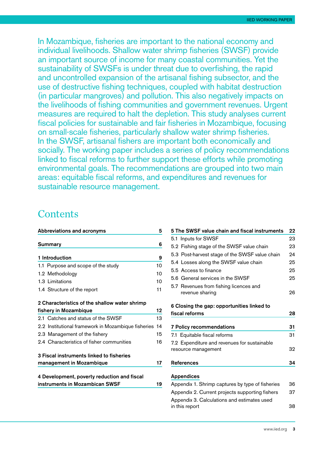In Mozambique, fisheries are important to the national economy and individual livelihoods. Shallow water shrimp fisheries (SWSF) provide an important source of income for many coastal communities. Yet the sustainability of SWSFs is under threat due to overfishing, the rapid and uncontrolled expansion of the artisanal fishing subsector, and the use of destructive fishing techniques, coupled with habitat destruction (in particular mangroves) and pollution. This also negatively impacts on the livelihoods of fishing communities and government revenues. Urgent measures are required to halt the depletion. This study analyses current fiscal policies for sustainable and fair fisheries in Mozambique, focusing on small-scale fisheries, particularly shallow water shrimp fisheries. In the SWSF, artisanal fishers are important both economically and socially. The working paper includes a series of policy recommendations linked to fiscal reforms to further support these efforts while promoting environmental goals. The recommendations are grouped into two main areas: equitable fiscal reforms, and expenditures and revenues for sustainable resource management.

#### **Contents**

| Abbreviations and acronyms                          |    |
|-----------------------------------------------------|----|
| Summary                                             | 6  |
| 1 Introduction                                      | 9  |
| 1.1 Purpose and scope of the study                  | 10 |
| 1.2 Methodology                                     | 10 |
| 1.3 Limitations                                     | 10 |
| 1.4 Structure of the report                         | 11 |
| 2 Characteristics of the shallow water shrimp       |    |
| fishery in Mozambique                               | 12 |
| 2.1 Catches and status of the SWSF                  | 13 |
| 2.2 Institutional framework in Mozambique fisheries | 14 |
| 2.3 Management of the fishery                       | 15 |
| 2.4 Characteristics of fisher communities           | 16 |
| 3 Fiscal instruments linked to fisheries            |    |
| management in Mozambique                            | 17 |
| 4 Development, poverty reduction and fiscal         |    |
| instruments in Mozambican SWSF                      | 19 |
|                                                     |    |

| 5 The SWSF value chain and fiscal instruments    | 22 |
|--------------------------------------------------|----|
| 5.1 Inputs for SWSF                              | 23 |
| 5.2 Fishing stage of the SWSF value chain        | 23 |
| 5.3 Post-harvest stage of the SWSF value chain   | 24 |
| 5.4 Losses along the SWSF value chain            | 25 |
| 5.5 Access to finance                            | 25 |
| 5.6 General services in the SWSF                 | 25 |
| 5.7 Revenues from fishing licences and           |    |
| revenue sharing                                  | 26 |
| 6 Closing the gap: opportunities linked to       |    |
| fiscal reforms                                   | 28 |
|                                                  |    |
| <b>7 Policy recommendations</b>                  | 31 |
|                                                  |    |
| 7.1 Equitable fiscal reforms                     | 31 |
| 7.2 Expenditure and revenues for sustainable     |    |
| resource management                              | 32 |
|                                                  |    |
| <b>References</b>                                | 34 |
| <b>Appendices</b>                                |    |
| Appendix 1. Shrimp captures by type of fisheries | 36 |
| Appendix 2. Current projects supporting fishers  | 37 |
| Appendix 3. Calculations and estimates used      |    |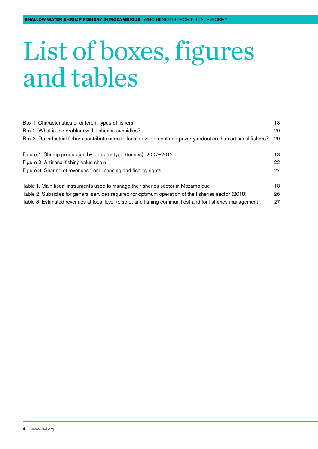## List of boxes, figures and tables

| Box 1. Characteristics of different types of fishers                                                            | 13  |
|-----------------------------------------------------------------------------------------------------------------|-----|
| Box 2. What is the problem with fisheries subsidies?                                                            | 20  |
| Box 3. Do industrial fishers contribute more to local development and poverty reduction than artisanal fishers? | 29  |
| Figure 1. Shrimp production by operator type (tonnes), 2007-2017                                                | 13. |
| Figure 2. Artisanal fishing value chain                                                                         | 22  |
| Figure 3. Sharing of revenues from licensing and fishing rights                                                 | 27  |
| Table 1. Main fiscal instruments used to manage the fisheries sector in Mozambique                              | 18  |
| Table 2. Subsidies for general services required for optimum operation of the fisheries sector (2018)           | 26  |
| Table 3. Estimated revenues at local level (district and fishing communities) and for fisheries management      | 27  |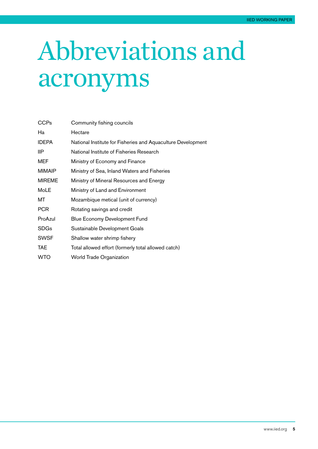## <span id="page-4-0"></span>Abbreviations and acronyms

| Community fishing councils                                   |
|--------------------------------------------------------------|
| Hectare                                                      |
| National Institute for Fisheries and Aquaculture Development |
| National Institute of Fisheries Research                     |
| Ministry of Economy and Finance                              |
| Ministry of Sea, Inland Waters and Fisheries                 |
| Ministry of Mineral Resources and Energy                     |
| Ministry of Land and Environment                             |
| Mozambique metical (unit of currency)                        |
| Rotating savings and credit                                  |
| Blue Economy Development Fund                                |
| Sustainable Development Goals                                |
| Shallow water shrimp fishery                                 |
| Total allowed effort (formerly total allowed catch)          |
| <b>World Trade Organization</b>                              |
|                                                              |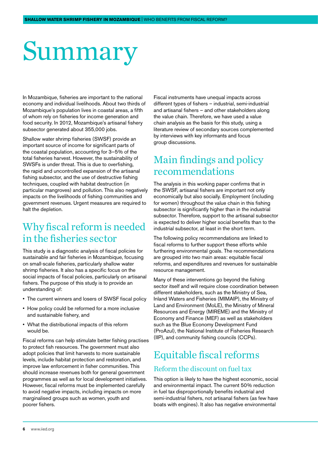## <span id="page-5-0"></span>Summary

In Mozambique, fisheries are important to the national economy and individual livelihoods. About two thirds of Mozambique's population lives in coastal areas, a fifth of whom rely on fisheries for income generation and food security. In 2012, Mozambique's artisanal fishery subsector generated about 355,000 jobs.

Shallow water shrimp fisheries (SWSF) provide an important source of income for significant parts of the coastal population, accounting for 3–5% of the total fisheries harvest. However, the sustainability of SWSFs is under threat. This is due to overfishing, the rapid and uncontrolled expansion of the artisanal fishing subsector, and the use of destructive fishing techniques, coupled with habitat destruction (in particular mangroves) and pollution. This also negatively impacts on the livelihoods of fishing communities and government revenues. Urgent measures are required to halt the depletion.

#### Why fiscal reform is needed in the fisheries sector

This study is a diagnostic analysis of fiscal policies for sustainable and fair fisheries in Mozambique, focusing on small-scale fisheries, particularly shallow water shrimp fisheries. It also has a specific focus on the social impacts of fiscal policies, particularly on artisanal fishers. The purpose of this study is to provide an understanding of:

- The current winners and losers of SWSF fiscal policy
- How policy could be reformed for a more inclusive and sustainable fishery, and
- What the distributional impacts of this reform would be.

Fiscal reforms can help stimulate better fishing practises to protect fish resources. The government must also adopt policies that limit harvests to more sustainable levels, include habitat protection and restoration, and improve law enforcement in fisher communities. This should increase revenues both for general government programmes as well as for local development initiatives. However, fiscal reforms must be implemented carefully to avoid negative impacts, including impacts on more marginalised groups such as women, youth and poorer fishers.

Fiscal instruments have unequal impacts across different types of fishers – industrial, semi-industrial and artisanal fishers – and other stakeholders along the value chain. Therefore, we have used a value chain analysis as the basis for this study, using a literature review of secondary sources complemented by interviews with key informants and focus group discussions.

#### Main findings and policy recommendations

The analysis in this working paper confirms that in the SWSF, artisanal fishers are important not only economically but also socially. Employment (including for women) throughout the value chain in this fishing subsector is significantly higher than in the industrial subsector. Therefore, support to the artisanal subsector is expected to deliver higher social benefits than to the industrial subsector, at least in the short term.

The following policy recommendations are linked to fiscal reforms to further support these efforts while furthering environmental goals. The recommendations are grouped into two main areas: equitable fiscal reforms, and expenditures and revenues for sustainable resource management.

Many of these interventions go beyond the fishing sector itself and will require close coordination between different stakeholders, such as the Ministry of Sea, Inland Waters and Fisheries (MIMAIP), the Ministry of Land and Environment (MoLE), the Ministry of Mineral Resources and Energy (MIREME) and the Ministry of Economy and Finance (MEF) as well as stakeholders such as the Blue Economy Development Fund (ProAzul), the National Institute of Fisheries Research (IIP), and community fishing councils (CCPs).

#### Equitable fiscal reforms

#### Reform the discount on fuel tax

This option is likely to have the highest economic, social and environmental impact. The current 50% reduction in fuel tax disproportionally benefits industrial and semi-industrial fishers, not artisanal fishers (as few have boats with engines). It also has negative environmental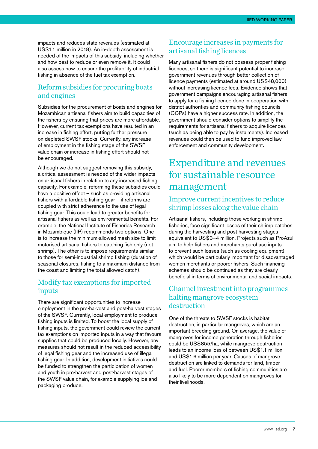impacts and reduces state revenues (estimated at US\$1.1 million in 2018). An in-depth assessment is needed of the impacts of this subsidy, including whether and how best to reduce or even remove it. It could also assess how to ensure the profitability of industrial fishing in absence of the fuel tax exemption.

#### Reform subsidies for procuring boats and engines

Subsidies for the procurement of boats and engines for Mozambican artisanal fishers aim to build capacities of the fishers by ensuring that prices are more affordable. However, current tax exemptions have resulted in an increase in fishing effort, putting further pressure on depleted SWSF stocks. Currently, any increase of employment in the fishing stage of the SWSF value chain or increase in fishing effort should not be encouraged.

Although we do not suggest removing this subsidy, a critical assessment is needed of the wider impacts on artisanal fishers in relation to any increased fishing capacity. For example, reforming these subsidies could have a positive effect – such as providing artisanal fishers with affordable fishing gear – if reforms are coupled with strict adherence to the use of legal fishing gear. This could lead to greater benefits for artisanal fishers as well as environmental benefits. For example, the National Institute of Fisheries Research in Mozambique (IIP) recommends two options. One is to increase the minimum-allowed mesh size to limit motorised artisanal fishers to catching fish only (not shrimp). The other is to impose requirements similar to those for semi-industrial shrimp fishing (duration of seasonal closures, fishing to a maximum distance from the coast and limiting the total allowed catch).

#### Modify tax exemptions for imported inputs

There are significant opportunities to increase employment in the pre-harvest and post-harvest stages of the SWSF. Currently, local employment to produce fishing inputs is limited. To boost the local supply of fishing inputs, the government could review the current tax exemptions on imported inputs in a way that favours supplies that could be produced locally. However, any measures should not result in the reduced accessibility of legal fishing gear and the increased use of illegal fishing gear. In addition, development initiatives could be funded to strengthen the participation of women and youth in pre-harvest and post-harvest stages of the SWSF value chain, for example supplying ice and packaging produce.

#### Encourage increases in payments for artisanal fishing licences

Many artisanal fishers do not possess proper fishing licences, so there is significant potential to increase government revenues through better collection of licence payments (estimated at around US\$48,000) without increasing licence fees. Evidence shows that government campaigns encouraging artisanal fishers to apply for a fishing licence done in cooperation with district authorities and community fishing councils (CCPs) have a higher success rate. In addition, the government should consider options to simplify the requirements for artisanal fishers to acquire licences (such as being able to pay by instalments). Increased revenues could then be used to fund improved law enforcement and community development.

#### Expenditure and revenues for sustainable resource management

#### Improve current incentives to reduce shrimp losses along the value chain

Artisanal fishers, including those working in shrimp fisheries, face significant losses of their shrimp catches during the harvesting and post-harvesting stages equivalent to US\$3–4 million. Projects such as ProAzul aim to help fishers and merchants purchase inputs to prevent such losses (such as cooling equipment), which would be particularly important for disadvantaged women merchants or poorer fishers. Such financing schemes should be continued as they are clearly beneficial in terms of environmental and social impacts.

#### Channel investment into programmes halting mangrove ecosystem destruction

One of the threats to SWSF stocks is habitat destruction, in particular mangroves, which are an important breeding ground. On average, the value of mangroves for income generation through fisheries could be US\$855/ha, while mangrove destruction leads to an income loss of between US\$1.1 million and US\$1.6 million per year. Causes of mangrove destruction are linked to demands for land, timber and fuel. Poorer members of fishing communities are also likely to be more dependent on mangroves for their livelihoods.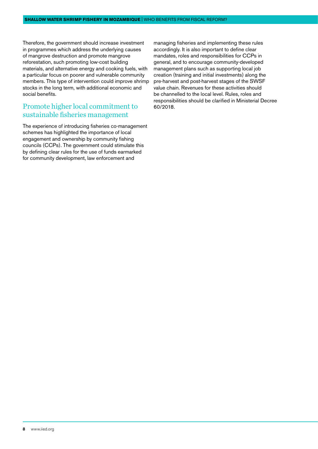Therefore, the government should increase investment in programmes which address the underlying causes of mangrove destruction and promote mangrove reforestation, such promoting low-cost building materials, and alternative energy and cooking fuels, with a particular focus on poorer and vulnerable community members. This type of intervention could improve shrimp stocks in the long term, with additional economic and social benefits.

#### Promote higher local commitment to sustainable fisheries management

The experience of introducing fisheries co-management schemes has highlighted the importance of local engagement and ownership by community fishing councils (CCPs). The government could stimulate this by defining clear rules for the use of funds earmarked for community development, law enforcement and

managing fisheries and implementing these rules accordingly. It is also important to define clear mandates, roles and responsibilities for CCPs in general, and to encourage community-developed management plans such as supporting local job creation (training and initial investments) along the pre-harvest and post-harvest stages of the SWSF value chain. Revenues for these activities should be channelled to the local level. Rules, roles and responsibilities should be clarified in Ministerial Decree 60/2018.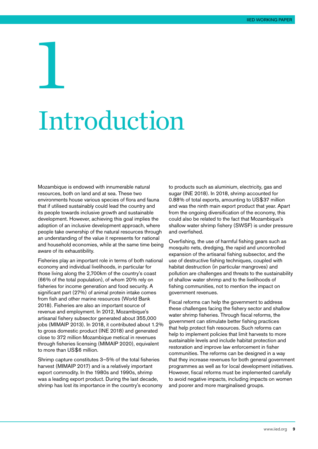## <span id="page-8-0"></span>1 Introduction

Mozambique is endowed with innumerable natural resources, both on land and at sea. These two environments house various species of flora and fauna that if utilised sustainably could lead the country and its people towards inclusive growth and sustainable development. However, achieving this goal implies the adoption of an inclusive development approach, where people take ownership of the natural resources through an understanding of the value it represents for national and household economies, while at the same time being aware of its exhaustibility.

Fisheries play an important role in terms of both national economy and individual livelihoods, in particular for those living along the 2,700km of the country's coast (66% of the total population), of whom 20% rely on fisheries for income generation and food security. A significant part (27%) of animal protein intake comes from fish and other marine resources (World Bank 2018). Fisheries are also an important source of revenue and employment. In 2012, Mozambique's artisanal fishery subsector generated about 355,000 jobs (MIMAIP 2013). In 2018, it contributed about 1.2% to gross domestic product (INE 2018) and generated close to 372 million Mozambique metical in revenues through fisheries licensing (MIMAIP 2020), equivalent to more than US\$6 million.

Shrimp capture constitutes 3–5% of the total fisheries harvest (MIMAIP 2017) and is a relatively important export commodity. In the 1980s and 1990s, shrimp was a leading export product. During the last decade, shrimp has lost its importance in the country's economy to products such as aluminium, electricity, gas and sugar (INE 2018). In 2018, shrimp accounted for 0.88% of total exports, amounting to US\$37 million and was the ninth main export product that year. Apart from the ongoing diversification of the economy, this could also be related to the fact that Mozambique's shallow water shrimp fishery (SWSF) is under pressure and overfished.

Overfishing, the use of harmful fishing gears such as mosquito nets, dredging, the rapid and uncontrolled expansion of the artisanal fishing subsector, and the use of destructive fishing techniques, coupled with habitat destruction (in particular mangroves) and pollution are challenges and threats to the sustainability of shallow water shrimp and to the livelihoods of fishing communities, not to mention the impact on government revenues.

Fiscal reforms can help the government to address these challenges facing the fishery sector and shallow water shrimp fisheries. Through fiscal reforms, the government can stimulate better fishing practices that help protect fish resources. Such reforms can help to implement policies that limit harvests to more sustainable levels and include habitat protection and restoration and improve law enforcement in fisher communities. The reforms can be designed in a way that they increase revenues for both general government programmes as well as for local development initiatives. However, fiscal reforms must be implemented carefully to avoid negative impacts, including impacts on women and poorer and more marginalised groups.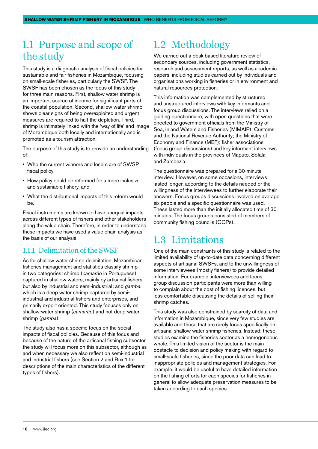#### <span id="page-9-0"></span>1.1 Purpose and scope of the study

This study is a diagnostic analysis of fiscal policies for sustainable and fair fisheries in Mozambique, focusing on small-scale fisheries, particularly the SWSF. The SWSF has been chosen as the focus of this study for three main reasons. First, shallow water shrimp is an important source of income for significant parts of the coastal population. Second, shallow water shrimp shows clear signs of being overexploited and urgent measures are required to halt the depletion. Third, shrimp is intimately linked with the 'way of life' and image of Mozambique both locally and internationally and is promoted as a tourism attraction.

The purpose of this study is to provide an understanding of:

- Who the current winners and losers are of SWSP fiscal policy
- How policy could be reformed for a more inclusive and sustainable fishery, and
- What the distributional impacts of this reform would be.

Fiscal instruments are known to have unequal impacts across different types of fishers and other stakeholders along the value chain. Therefore, in order to understand these impacts we have used a value chain analysis as the basis of our analysis.

#### 1.1.1 Delimitation of the SWSF

As for shallow water shrimp delimitation, Mozambican fisheries management and statistics classify shrimp in two categories: shrimp (*camarão* in Portuguese) captured in shallow waters, mainly by artisanal fishers, but also by industrial and semi-industrial; and *gamba*, which is a deep water shrimp captured by semiindustrial and industrial fishers and enterprises, and primarily export oriented. This study focuses only on shallow-water shrimp (*camarão*) and not deep-water shrimp (*gamba*).

The study also has a specific focus on the social impacts of fiscal policies. Because of this focus and because of the nature of the artisanal fishing subsector, the study will focus more on this subsector, although as and when necessary we also reflect on semi-industrial and industrial fishers (see Section 2 and Box 1 for descriptions of the main characteristics of the different types of fishers).

#### 1.2 Methodology

We carried out a desk-based literature review of secondary sources, including government statistics, research and assessment reports, as well as academic papers, including studies carried out by individuals and organisations working in fisheries or in environment and natural resources protection.

This information was complemented by structured and unstructured interviews with key informants and focus group discussions. The interviews relied on a guiding questionnaire, with open questions that were directed to government officials from the Ministry of Sea, Inland Waters and Fisheries (MIMAIP); Customs and the National Revenue Authority; the Ministry of Economy and Finance (MEF); fisher associations (focus group discussions) and key informant interviews with individuals in the provinces of Maputo, Sofala and Zambezia.

The questionnaire was prepared for a 30-minute interview. However, on some occasions, interviews lasted longer, according to the details needed or the willingness of the interviewees to further elaborate their answers. Focus groups discussions involved on average six people and a specific questionnaire was used. These lasted more than the initially allocated time of 30 minutes. The focus groups consisted of members of community fishing councils (CCPs).

#### 1.3 Limitations

One of the main constraints of this study is related to the limited availability of up-to-date data concerning different aspects of artisanal SWSFs, and to the unwillingness of some interviewees (mostly fishers) to provide detailed information. For example, interviewees and focus group discussion participants were more than willing to complain about the cost of fishing licences, but less comfortable discussing the details of selling their shrimp catches.

This study was also constrained by scarcity of data and information in Mozambique, since very few studies are available and those that are rarely focus specifically on artisanal shallow water shrimp fisheries. Instead, these studies examine the fisheries sector as a homogeneous whole. This limited vision of the sector is the main obstacle to decision and policy making with regard to small-scale fisheries, since the poor data can lead to inappropriate policies and management strategies. For example, it would be useful to have detailed information on the fishing efforts for each species for fisheries in general to allow adequate preservation measures to be taken according to each species.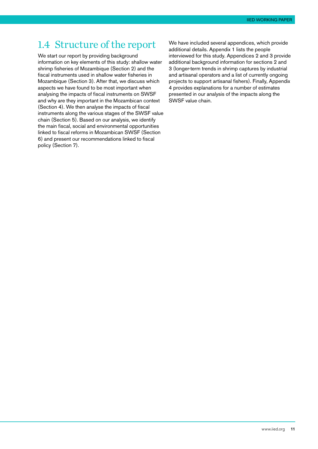#### <span id="page-10-0"></span>1.4 Structure of the report

We start our report by providing background information on key elements of this study: shallow water shrimp fisheries of Mozambique (Section 2) and the fiscal instruments used in shallow water fisheries in Mozambique (Section 3). After that, we discuss which aspects we have found to be most important when analysing the impacts of fiscal instruments on SWSF and why are they important in the Mozambican context (Section 4). We then analyse the impacts of fiscal instruments along the various stages of the SWSF value chain (Section 5). Based on our analysis, we identify the main fiscal, social and environmental opportunities linked to fiscal reforms in Mozambican SWSF (Section 6) and present our recommendations linked to fiscal policy (Section 7).

We have included several appendices, which provide additional details. Appendix 1 lists the people interviewed for this study. Appendices 2 and 3 provide additional background information for sections 2 and 3 (longer-term trends in shrimp captures by industrial and artisanal operators and a list of currently ongoing projects to support artisanal fishers). Finally, Appendix 4 provides explanations for a number of estimates presented in our analysis of the impacts along the SWSF value chain.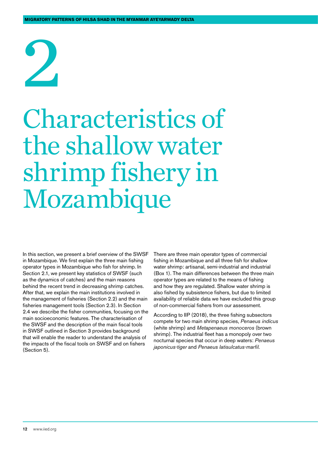# <span id="page-11-0"></span>2

## Characteristics of the shallow water shrimp fishery in Mozambique

In this section, we present a brief overview of the SWSF in Mozambique. We first explain the three main fishing operator types in Mozambique who fish for shrimp. In Section 2.1, we present key statistics of SWSF (such as the dynamics of catches) and the main reasons behind the recent trend in decreasing shrimp catches. After that, we explain the main institutions involved in the management of fisheries (Section 2.2) and the main fisheries management tools (Section 2.3). In Section 2.4 we describe the fisher communities, focusing on the main socioeconomic features. The characterisation of the SWSF and the description of the main fiscal tools in SWSF outlined in Section 3 provides background that will enable the reader to understand the analysis of the impacts of the fiscal tools on SWSF and on fishers (Section 5).

There are three main operator types of commercial fishing in Mozambique and all three fish for shallow water shrimp: artisanal, semi-industrial and industrial (Box 1). The main differences between the three main operator types are related to the means of fishing and how they are regulated. Shallow water shrimp is also fished by subsistence fishers, but due to limited availability of reliable data we have excluded this group of non-commercial fishers from our assessment.

According to IIP (2018), the three fishing subsectors compete for two main shrimp species, *Penaeus indicus* (white shrimp) and *Metapenaeus monoceros* (brown shrimp). The industrial fleet has a monopoly over two nocturnal species that occur in deep waters: *Penaeus japonicus-tiger* and *Penaeus latisulcatus-marfil*.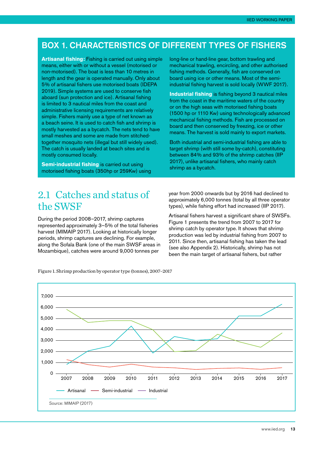#### <span id="page-12-0"></span>Box 1. Characteristics of different types of fishers

**Artisanal fishing:** Fishing is carried out using simple means, either with or without a vessel (motorised or non-motorised). The boat is less than 10 metres in length and the gear is operated manually. Only about 5% of artisanal fishers use motorised boats (IDEPA 2019). Simple systems are used to conserve fish aboard (sun protection and ice). Artisanal fishing is limited to 3 nautical miles from the coast and administrative licensing requirements are relatively simple. Fishers mainly use a type of net known as a beach seine. It is used to catch fish and shrimp is mostly harvested as a bycatch. The nets tend to have small meshes and some are made from stitchedtogether mosquito nets (illegal but still widely used). The catch is usually landed at beach sites and is mostly consumed locally.

**Semi-industrial fishing** is carried out using motorised fishing boats (350hp or 259Kw) using long-line or hand-line gear, bottom trawling and mechanical trawling, encircling, and other authorised fishing methods. Generally, fish are conserved on board using ice or other means. Most of the semiindustrial fishing harvest is sold locally (WWF 2017).

**Industrial fishing** is fishing beyond 3 nautical miles from the coast in the maritime waters of the country or on the high seas with motorised fishing boats (1500 hp or 1110 Kw) using technologically advanced mechanical fishing methods. Fish are processed on board and then conserved by freezing, ice or other means. The harvest is sold mainly to export markets.

Both industrial and semi-industrial fishing are able to target shrimp (with still some by-catch), constituting between 84% and 93% of the shrimp catches (IIP 2017), unlike artisanal fishers, who mainly catch shrimp as a bycatch.

#### 2.1 Catches and status of the SWSF

During the period 2008–2017, shrimp captures represented approximately 3–5% of the total fisheries harvest (MIMAIP 2017). Looking at historically longer periods, shrimp captures are declining. For example, along the Sofala Bank (one of the main SWSF areas in Mozambique), catches were around 9,000 tonnes per

year from 2000 onwards but by 2016 had declined to approximately 6,000 tonnes (total by all three operator types), while fishing effort had increased (IIP 2017).

Artisanal fishers harvest a significant share of SWSFs. Figure 1 presents the trend from 2007 to 2017 for shrimp catch by operator type. It shows that shrimp production was led by industrial fishing from 2007 to 2011. Since then, artisanal fishing has taken the lead (see also Appendix 2). Historically, shrimp has not been the main target of artisanal fishers, but rather



Figure 1. Shrimp production by operator type (tonnes), 2007–2017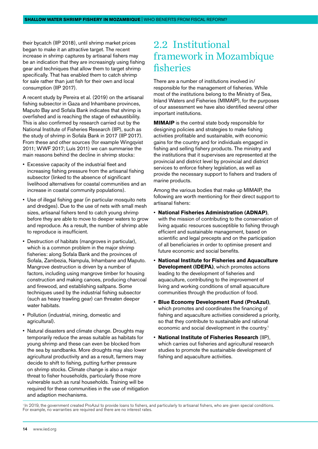<span id="page-13-0"></span>their bycatch (IIP 2018), until shrimp market prices began to make it an attractive target. The recent increase in shrimp captures by artisanal fishers may be an indication that they are increasingly using fishing gear and techniques that allow them to target shrimp specifically. That has enabled them to catch shrimp for sale rather than just fish for their own and local consumption (IIP 2017).

A recent study by Pereira et al. (2019) on the artisanal fishing subsector in Gaza and Inhambane provinces, Maputo Bay and Sofala Bank indicates that shrimp is overfished and is reaching the stage of exhaustibility. This is also confirmed by research carried out by the National Institute of Fisheries Research (IIP), such as the study of shrimp in Sofala Bank in 2017 (IIP 2017). From these and other sources (for example Wingqvist 2011; WWF 2017; Luís 2011) we can summarise the main reasons behind the decline in shrimp stocks:

- Excessive capacity of the industrial fleet and increasing fishing pressure from the artisanal fishing subsector (linked to the absence of significant livelihood alternatives for coastal communities and an increase in coastal community populations).
- Use of illegal fishing gear (in particular mosquito nets and dredges). Due to the use of nets with small mesh sizes, artisanal fishers tend to catch young shrimp before they are able to move to deeper waters to grow and reproduce. As a result, the number of shrimp able to reproduce is insufficient.
- Destruction of habitats (mangroves in particular), which is a common problem in the major shrimp fisheries: along Sofala Bank and the provinces of Sofala, Zambezia, Nampula, Inhambane and Maputo. Mangrove destruction is driven by a number of factors, including using mangrove timber for housing construction and making canoes, producing charcoal and firewood, and establishing saltpans. Some techniques used by the industrial fishing subsector (such as heavy trawling gear) can threaten deeper water habitats.
- Pollution (industrial, mining, domestic and agricultural).
- Natural disasters and climate change. Droughts may temporarily reduce the areas suitable as habitats for young shrimp and these can even be blocked from the sea by sandbanks. More droughts may also lower agricultural productivity and as a result, farmers may decide to shift to fishing, putting further pressure on shrimp stocks. Climate change is also a major threat to fisher households, particularly those more vulnerable such as rural households. Training will be required for these communities in the use of mitigation and adaption mechanisms.

#### 2.2 Institutional framework in Mozambique fisheries

There are a number of institutions involved in/ responsible for the management of fisheries. While most of the institutions belong to the Ministry of Sea, Inland Waters and Fisheries (MIMAIP), for the purposes of our assessment we have also identified several other important institutions.

**MIMAIP** is the central state body responsible for designing policies and strategies to make fishing activities profitable and sustainable, with economic gains for the country and for individuals engaged in fishing and selling fishery products. The ministry and the institutions that it supervises are represented at the provincial and district level by provincial and district services to enforce fishery legislation, as well as provide the necessary support to fishers and traders of marine products.

Among the various bodies that make up MIMAIP, the following are worth mentioning for their direct support to artisanal fishers:

- **National Fisheries Administration (ADNAP)**, with the mission of contributing to the conservation of living aquatic resources susceptible to fishing through efficient and sustainable management, based on scientific and legal precepts and on the participation of all beneficiaries in order to optimise present and future economic and social benefits.
- **National Institute for Fisheries and Aquaculture Development (IDEPA)**, which promotes actions leading to the development of fisheries and aquaculture, contributing to the improvement of living and working conditions of small aquaculture communities through the production of food.
- **Blue Economy Development Fund (ProAzul)**, which promotes and coordinates the financing of fishing and aquaculture activities considered a priority, so that they contribute to sustainable and rational economic and social development in the country.1
- **National Institute of Fisheries Research** (IIP), which carries out fisheries and agricultural research studies to promote the sustainable development of fishing and aquaculture activities.

<sup>&</sup>lt;sup>1</sup> In 2019, the government created ProAzul to provide loans to fishers, and particularly to artisanal fishers, who are given special conditions. For example, no warranties are required and there are no interest rates.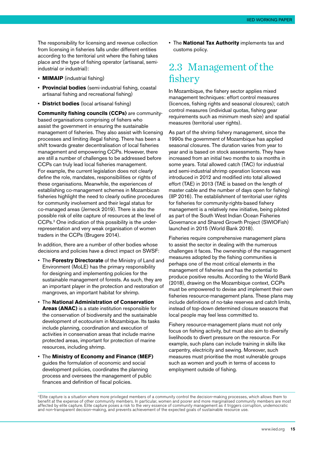<span id="page-14-0"></span>The responsibility for licensing and revenue collection from licensing in fisheries falls under different entities according to the territorial unit where the fishing takes place and the type of fishing operator (artisanal, semiindustrial or industrial):

- **MIMAIP** (industrial fishing)
- **Provincial bodies** (semi-industrial fishing, coastal artisanal fishing and recreational fishing)
- **District bodies** (local artisanal fishing)

**Community fishing councils (CCPs)** are communitybased organisations comprising of fishers who assist the government in ensuring the sustainable management of fisheries. They also assist with licensing processes and limiting illegal fishing. There has been a shift towards greater decentralisation of local fisheries management and empowering CCPs. However, there are still a number of challenges to be addressed before CCPs can truly lead local fisheries management. For example, the current legislation does not clearly define the role, mandates, responsibilities or rights of these organisations. Meanwhile, the experiences of establishing co-management schemes in Mozambican fisheries highlight the need to clearly outline procedures for community involvement and their legal status for co-managed areas (Jerneck 2019). There is also the possible risk of elite capture of resources at the level of CCPs.2 One indication of this possibility is the underrepresentation and very weak organisation of women traders in the CCPs (Brugere 2014).

In addition, there are a number of other bodies whose decisions and policies have a direct impact on SWSF:

- The **Forestry Directorate** of the Ministry of Land and Environment (MoLE) has the primary responsibility for designing and implementing policies for the sustainable management of forests. As such, they are an important player in the protection and restoration of mangroves, an important habitat for shrimp.
- The **National Administration of Conservation Areas (ANAC)** is a state institution responsible for the conservation of biodiversity and the sustainable development of ecotourism in Mozambique. Its tasks include planning, coordination and execution of activities in conservation areas that include marine protected areas, important for protection of marine resources, including shrimp.
- The **Ministry of Economy and Finance (MEF)** guides the formulation of economic and social development policies, coordinates the planning process and oversees the management of public finances and definition of fiscal policies.

• The **National Tax Authority** implements tax and customs policy.

#### 2.3 Management of the fishery

In Mozambique, the fishery sector applies mixed management techniques: effort control measures (licences, fishing rights and seasonal closures); catch control measures (individual quotas, fishing gear requirements such as minimum mesh size) and spatial measures (territorial user rights).

As part of the shrimp fishery management, since the 1990s the government of Mozambique has applied seasonal closures. The duration varies from year to year and is based on stock assessments. They have increased from an initial two months to six months in some years. Total allowed catch (TAC) for industrial and semi-industrial shrimp operation licences was introduced in 2012 and modified into total allowed effort (TAE) in 2013 (TAE is based on the length of master cable and the number of days open for fishing) (IIP 2016). The establishment of territorial user rights for fisheries for community-rights-based fishery management is a relatively new initiative, being piloted as part of the South West Indian Ocean Fisheries Governance and Shared Growth Project (SWIOFish) launched in 2015 (World Bank 2018).

Fisheries require comprehensive management plans to assist the sector in dealing with the numerous challenges it faces. The ownership of the management measures adopted by the fishing communities is perhaps one of the most critical elements in the management of fisheries and has the potential to produce positive results. According to the World Bank (2018), drawing on the Mozambique context, CCPs must be empowered to devise and implement their own fisheries resource-management plans. These plans may include definitions of no-take reserves and catch limits, instead of top-down determined closure seasons that local people may feel less committed to.

Fishery resource-management plans must not only focus on fishing activity, but must also aim to diversify livelihoods to divert pressure on the resource. For example, such plans can include training in skills like carpentry, electricity and sewing. Moreover, such measures must prioritise the most vulnerable groups such as women and youth in terms of access to employment outside of fishing.

<sup>&</sup>lt;sup>2</sup> Elite capture is a situation where more privileged members of a community control the decision-making processes, which allows them to benefit at the expense of other community members. In particular, women and poorer and more marginalised community members are most affected by elite capture. Elite capture poses a risk to the very essence of community management as it triggers corruption, undemocratic and non-transparent decision-making, and prevents achievement of the expected goals of sustainable resource use.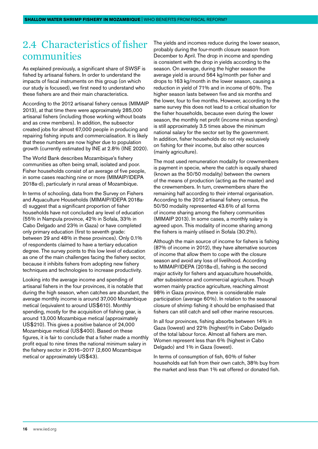#### <span id="page-15-0"></span>2.4 Characteristics of fisher communities

As explained previously, a significant share of SWSF is fished by artisanal fishers. In order to understand the impacts of fiscal instruments on this group (on which our study is focused), we first need to understand who these fishers are and their main characteristics.

According to the 2012 artisanal fishery census (MIMAIP 2013), at that time there were approximately 285,000 artisanal fishers (including those working without boats and as crew members). In addition, the subsector created jobs for almost 67,000 people in producing and repairing fishing inputs and commercialisation. It is likely that these numbers are now higher due to population growth (currently estimated by INE at 2.8% (INE 2020).

The World Bank describes Mozambique's fishery communities as often being small, isolated and poor. Fisher households consist of an average of five people, in some cases reaching nine or more (MIMAIP/IDEPA 2018a-d), particularly in rural areas of Mozambique.

In terms of schooling, data from the Survey on Fishers and Aquaculture Households (MIMAIP/IDEPA 2018ad) suggest that a significant proportion of fisher households have not concluded any level of education (55% in Nampula province, 42% in Sofala, 33% in Cabo Delgado and 23% in Gaza) or have completed only primary education (first to seventh grade: between 29 and 48% in these provinces). Only 0.1% of respondents claimed to have a tertiary education degree. The survey points to this low level of education as one of the main challenges facing the fishery sector, because it inhibits fishers from adopting new fishery techniques and technologies to increase productivity.

Looking into the average income and spending of artisanal fishers in the four provinces, it is notable that during the high season, when catches are abundant, the average monthly income is around 37,000 Mozambique metical (equivalent to around US\$610). Monthly spending, mostly for the acquisition of fishing gear, is around 13,000 Mozambique metical (approximately US\$210). This gives a positive balance of 24,000 Mozambique metical (US\$400). Based on these figures, it is fair to conclude that a fisher made a monthly profit equal to nine times the national minimum salary in the fishery sector in 2016–2017 (2,600 Mozambique metical or approximately US\$43).

The yields and incomes reduce during the lower season, probably during the four-month closure season from December to April. The drop in income and spending is consistent with the drop in yields according to the season. On average, during the higher season the average yield is around 564 kg/month per fisher and drops to 163 kg/month in the lower season, causing a reduction in yield of 71% and in income of 60%. The higher season lasts between five and six months and the lower, four to five months. However, according to the same survey this does not lead to a critical situation for the fisher households, because even during the lower season, the monthly net profit (income minus spending) is still approximately 3.5 times above the minimum national salary for the sector set by the government. In addition, fisher households do not rely exclusively on fishing for their income, but also other sources (mainly agriculture).

The most used remuneration modality for crewmembers is payment in specie, where the catch is equally shared (known as the 50/50 modality) between the owners of the means of production (acting as the master) and the crewmembers. In turn, crewmembers share the remaining half according to their internal organisation. According to the 2012 artisanal fishery census, the 50/50 modality represented 43.6% of all forms of income sharing among the fishery communities (MIMAIP 2013). In some cases, a monthly salary is agreed upon. This modality of income sharing among the fishers is mainly utilised in Sofala (30.2%).

Although the main source of income for fishers is fishing (87% of income in 2012), they have alternative sources of income that allow them to cope with the closure season and avoid any loss of livelihood. According to MIMAIP/IDEPA (2018a-d), fishing is the second major activity for fishers and aquaculture households, after subsistence and commercial agriculture. Though women mainly practice agriculture, reaching almost 98% in Gaza province, there is considerable male participation (average 60%). In relation to the seasonal closure of shrimp fishing it should be emphasised that fishers can still catch and sell other marine resources.

In all four provinces, fishing absorbs between 14% in Gaza (lowest) and 22% (highest)% in Cabo Delgado of the total labour force. Almost all fishers are men. Women represent less than 6% (highest in Cabo Delgado) and 1% in Gaza (lowest).

In terms of consumption of fish, 60% of fisher households eat fish from their own catch, 38% buy from the market and less than 1% eat offered or donated fish.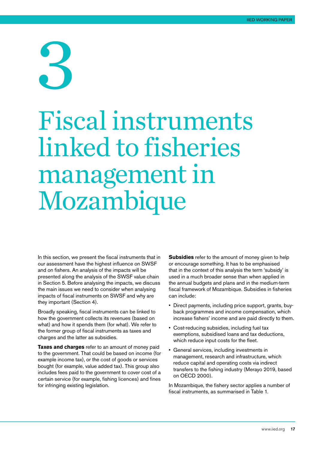# <span id="page-16-0"></span>3

## Fiscal instruments linked to fisheries management in Mozambique

In this section, we present the fiscal instruments that in our assessment have the highest influence on SWSF and on fishers. An analysis of the impacts will be presented along the analysis of the SWSF value chain in Section 5. Before analysing the impacts, we discuss the main issues we need to consider when analysing impacts of fiscal instruments on SWSF and why are they important (Section 4).

Broadly speaking, fiscal instruments can be linked to how the government collects its revenues (based on what) and how it spends them (for what). We refer to the former group of fiscal instruments as taxes and charges and the latter as subsidies.

**Taxes and charges** refer to an amount of money paid to the government. That could be based on income (for example income tax), or the cost of goods or services bought (for example, value added tax). This group also includes fees paid to the government to cover cost of a certain service (for example, fishing licences) and fines for infringing existing legislation.

**Subsidies** refer to the amount of money given to help or encourage something. It has to be emphasised that in the context of this analysis the term 'subsidy' is used in a much broader sense than when applied in the annual budgets and plans and in the medium-term fiscal framework of Mozambique. Subsidies in fisheries can include:

- Direct payments, including price support, grants, buyback programmes and income compensation, which increase fishers' income and are paid directly to them.
- Cost-reducing subsidies, including fuel tax exemptions, subsidised loans and tax deductions, which reduce input costs for the fleet.
- General services, including investments in management, research and infrastructure, which reduce capital and operating costs via indirect transfers to the fishing industry (Merayo 2019, based on OECD 2000).

In Mozambique, the fishery sector applies a number of fiscal instruments, as summarised in Table 1.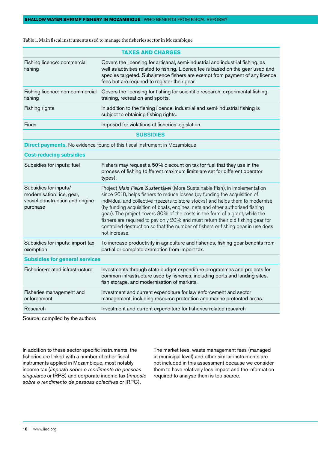| <b>TAXES AND CHARGES</b>                   |                                                                                                                                                                                                                                                                                                     |  |  |
|--------------------------------------------|-----------------------------------------------------------------------------------------------------------------------------------------------------------------------------------------------------------------------------------------------------------------------------------------------------|--|--|
| Fishing licence: commercial<br>fishing     | Covers the licensing for artisanal, semi-industrial and industrial fishing, as<br>well as activities related to fishing. Licence fee is based on the gear used and<br>species targeted. Subsistence fishers are exempt from payment of any licence<br>fees but are required to register their gear. |  |  |
| Fishing licence: non-commercial<br>fishing | Covers the licensing for fishing for scientific research, experimental fishing,<br>training, recreation and sports.                                                                                                                                                                                 |  |  |
| Fishing rights                             | In addition to the fishing licence, industrial and semi-industrial fishing is<br>subject to obtaining fishing rights.                                                                                                                                                                               |  |  |
| <b>Fines</b>                               | Imposed for violations of fisheries legislation.                                                                                                                                                                                                                                                    |  |  |
|                                            | <b>SUBSIDIES</b>                                                                                                                                                                                                                                                                                    |  |  |
|                                            | <b>Direct payments.</b> No evidence found of this fiscal instrument in Mozambique                                                                                                                                                                                                                   |  |  |
| <b>Cost-reducing subsidies</b>             |                                                                                                                                                                                                                                                                                                     |  |  |
| Subsidies for inputs: fuel                 | Fishers may request a 50% discount on tax for fuel that they use in the<br>process of fishing (different maximum limits are set for different operator<br>types).                                                                                                                                   |  |  |
|                                            |                                                                                                                                                                                                                                                                                                     |  |  |

<span id="page-17-0"></span>Table 1. Main fiscal instruments used to manage the fisheries sector in Mozambique

| process or institute (unterent maximum limits are set for unterent operator                                                                                                                                                                                                                                                                                                                                                                                                                                                                                                      |
|----------------------------------------------------------------------------------------------------------------------------------------------------------------------------------------------------------------------------------------------------------------------------------------------------------------------------------------------------------------------------------------------------------------------------------------------------------------------------------------------------------------------------------------------------------------------------------|
| Project Mais Peixe Sustentável (More Sustainable Fish), in implementation<br>since 2018, helps fishers to reduce losses (by funding the acquisition of<br>individual and collective freezers to store stocks) and helps them to modernise<br>(by funding acquisition of boats, engines, nets and other authorised fishing<br>gear). The project covers 80% of the costs in the form of a grant, while the<br>fishers are required to pay only 20% and must return their old fishing gear for<br>controlled destruction so that the number of fishers or fishing gear in use does |
| To increase productivity in agriculture and fisheries, fishing gear benefits from                                                                                                                                                                                                                                                                                                                                                                                                                                                                                                |
|                                                                                                                                                                                                                                                                                                                                                                                                                                                                                                                                                                                  |
| Investments through state budget expenditure programmes and projects for<br>common infrastructure used by fisheries, including ports and landing sites,                                                                                                                                                                                                                                                                                                                                                                                                                          |
|                                                                                                                                                                                                                                                                                                                                                                                                                                                                                                                                                                                  |
| management, including resource protection and marine protected areas.                                                                                                                                                                                                                                                                                                                                                                                                                                                                                                            |
|                                                                                                                                                                                                                                                                                                                                                                                                                                                                                                                                                                                  |

Source: compiled by the authors

In addition to these sector-specific instruments, the fisheries are linked with a number of other fiscal instruments applied in Mozambique, most notably income tax (*imposto sobre o rendimento de pessoas singulares* or IRPS) and corporate income tax (*imposto sobre o rendimento de pessoas colectivas* or IRPC).

The market fees, waste management fees (managed at municipal level) and other similar instruments are not included in this assessment because we consider them to have relatively less impact and the information required to analyse them is too scarce.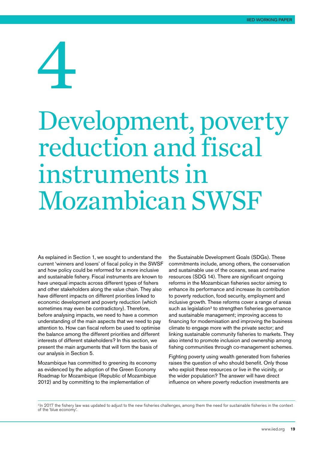# <span id="page-18-0"></span>4

## Development, poverty reduction and fiscal instruments in Mozambican SWSF

As explained in Section 1, we sought to understand the current 'winners and losers' of fiscal policy in the SWSF and how policy could be reformed for a more inclusive and sustainable fishery. Fiscal instruments are known to have unequal impacts across different types of fishers and other stakeholders along the value chain. They also have different impacts on different priorities linked to economic development and poverty reduction (which sometimes may even be contradictory). Therefore, before analysing impacts, we need to have a common understanding of the main aspects that we need to pay attention to. How can fiscal reform be used to optimise the balance among the different priorities and different interests of different stakeholders? In this section, we present the main arguments that will form the basis of our analysis in Section 5.

Mozambique has committed to greening its economy as evidenced by the adoption of the Green Economy Roadmap for Mozambique (Republic of Mozambique 2012) and by committing to the implementation of

the Sustainable Development Goals (SDGs). These commitments include, among others, the conservation and sustainable use of the oceans, seas and marine resources (SDG 14). There are significant ongoing reforms in the Mozambican fisheries sector aiming to enhance its performance and increase its contribution to poverty reduction, food security, employment and inclusive growth. These reforms cover a range of areas such as legislation<sup>3</sup> to strengthen fisheries governance and sustainable management; improving access to financing for modernisation and improving the business climate to engage more with the private sector; and linking sustainable community fisheries to markets. They also intend to promote inclusion and ownership among fishing communities through co-management schemes.

Fighting poverty using wealth generated from fisheries raises the question of who should benefit. Only those who exploit these resources or live in the vicinity, or the wider population? The answer will have direct influence on where poverty reduction investments are

<sup>&</sup>lt;sup>3</sup> In 2017 the fishery law was updated to adjust to the new fisheries challenges, among them the need for sustainable fisheries in the context of the 'blue economy'.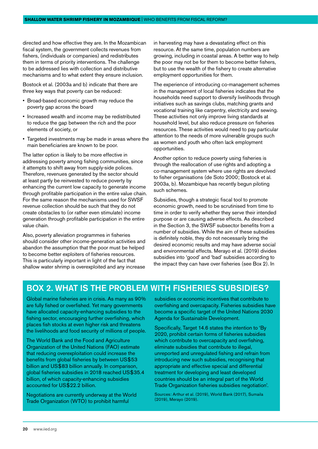<span id="page-19-0"></span>directed and how effective they are. In the Mozambican fiscal system, the government collects revenues from fishers, (individuals or companies) and redistributes them in terms of priority interventions. The challenge to be addressed lies with collection and distributive mechanisms and to what extent they ensure inclusion.

Bostock et al*.* (2003a and b) indicate that there are three key ways that poverty can be reduced:

- Broad-based economic growth may reduce the poverty gap across the board
- Increased wealth and income may be redistributed to reduce the gap between the rich and the poor elements of society, or
- Targeted investments may be made in areas where the main beneficiaries are known to be poor.

The latter option is likely to be more effective in addressing poverty among fishing communities, since it attempts to shift away from supply-side polices. Therefore, revenues generated by the sector should at least partly be reinvested to reduce poverty by enhancing the current low capacity to generate income through profitable participation in the entire value chain. For the same reason the mechanisms used for SWSF revenue collection should be such that they do not create obstacles to (or rather even stimulate) income generation through profitable participation in the entire value chain.

Also, poverty alleviation programmes in fisheries should consider other income-generation activities and abandon the assumption that the poor must be helped to become better exploiters of fisheries resources. This is particularly important in light of the fact that shallow water shrimp is overexploited and any increase

in harvesting may have a devastating effect on this resource. At the same time, population numbers are growing, including in coastal areas. A better way to help the poor may not be for them to become better fishers, but to use the wealth of the fishery to create alternative employment opportunities for them.

The experience of introducing co-management schemes in the management of local fisheries indicates that the households need support to diversify livelihoods through initiatives such as savings clubs, matching grants and vocational training like carpentry, electricity and sewing. These activities not only improve living standards at household level, but also reduce pressure on fisheries resources. These activities would need to pay particular attention to the needs of more vulnerable groups such as women and youth who often lack employment opportunities.

Another option to reduce poverty using fisheries is through the reallocation of use rights and adopting a co-management system where use rights are devolved to fisher organisations (de Soto 2000; Bostock et al*.*  2003a, b). Mozambique has recently begun piloting such schemes.

Subsidies, though a strategic fiscal tool to promote economic growth, need to be scrutinised from time to time in order to verify whether they serve their intended purpose or are causing adverse effects. As described in the Section 3, the SWSF subsector benefits from a number of subsidies. While the aim of these subsidies is definitely noble, they do not necessarily bring the desired economic results and may have adverse social and environmental effects. Merayo et al. (2019) divides subsidies into 'good' and 'bad' subsidies according to the impact they can have over fisheries (see Box 2). In

#### Box 2. What is the problem with fisheries subsidies?

Global marine fisheries are in crisis. As many as 90% are fully fished or overfished. Yet many governments have allocated capacity-enhancing subsidies to the fishing sector, encouraging further overfishing, which places fish stocks at even higher risk and threatens the livelihoods and food security of millions of people.

The World Bank and the Food and Agriculture Organization of the United Nations (FAO) estimate that reducing overexploitation could increase the benefits from global fisheries by between US\$53 billion and US\$83 billion annually. In comparison, global fisheries subsidies in 2018 reached US\$35.4 billion, of which capacity-enhancing subsidies accounted for US\$22.2 billion.

Negotiations are currently underway at the World Trade Organization (WTO) to prohibit harmful

subsidies or economic incentives that contribute to overfishing and overcapacity. Fisheries subsidies have become a specific target of the United Nations 2030 Agenda for Sustainable Development.

Specifically, Target 14.6 states the intention to 'By 2020, prohibit certain forms of fisheries subsidies which contribute to overcapacity and overfishing, eliminate subsidies that contribute to illegal, unreported and unregulated fishing and refrain from introducing new such subsidies, recognising that appropriate and effective special and differential treatment for developing and least developed countries should be an integral part of the World Trade Organization fisheries subsidies negotiation'.

Sources: Arthur et al. (2019), World Bank (2017), Sumaila (2019), Merayo (2019).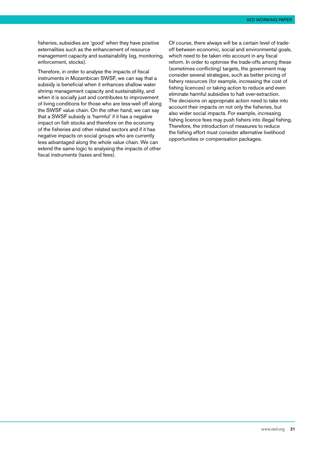fisheries, subsidies are 'good' when they have positive externalities such as the enhancement of resource management capacity and sustainability (eg, monitoring, enforcement, stocks).

Therefore, in order to analyse the impacts of fiscal instruments in Mozambican SWSF, we can say that a subsidy is beneficial when it enhances shallow water shrimp management capacity and sustainability, and when it is socially just and contributes to improvement of living conditions for those who are less-well off along the SWSF value chain. On the other hand, we can say that a SWSF subsidy is 'harmful' if it has a negative impact on fish stocks and therefore on the economy of the fisheries and other related sectors and if it has negative impacts on social groups who are currently less advantaged along the whole value chain. We can extend the same logic to analysing the impacts of other fiscal instruments (taxes and fees).

Of course, there always will be a certain level of tradeoff between economic, social and environmental goals, which need to be taken into account in any fiscal reform. In order to optimise the trade-offs among these (sometimes conflicting) targets, the government may consider several strategies, such as better pricing of fishery resources (for example, increasing the cost of fishing licences) or taking action to reduce and even eliminate harmful subsidies to halt over-extraction. The decisions on appropriate action need to take into account their impacts on not only the fisheries, but also wider social impacts. For example, increasing fishing licence fees may push fishers into illegal fishing. Therefore, the introduction of measures to reduce the fishing effort must consider alternative livelihood opportunities or compensation packages.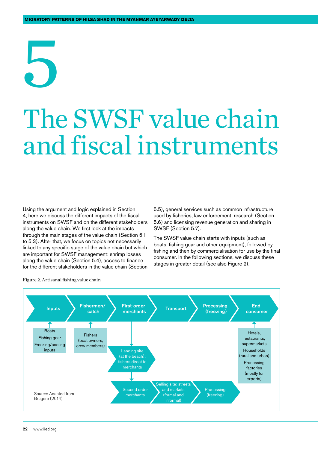## <span id="page-21-0"></span>5 The SWSF value chain and fiscal instruments

Using the argument and logic explained in Section 4, here we discuss the different impacts of the fiscal instruments on SWSF and on the different stakeholders along the value chain. We first look at the impacts through the main stages of the value chain (Section 5.1 to 5.3). After that, we focus on topics not necessarily linked to any specific stage of the value chain but which are important for SWSF management: shrimp losses along the value chain (Section 5.4), access to finance for the different stakeholders in the value chain (Section

5.5), general services such as common infrastructure used by fisheries, law enforcement, research (Section 5.6) and licensing revenue generation and sharing in SWSF (Section 5.7).

The SWSF value chain starts with inputs (such as boats, fishing gear and other equipment), followed by fishing and then by commercialisation for use by the final consumer. In the following sections, we discuss these stages in greater detail (see also Figure 2).



Figure 2. Artisanal fishing value chain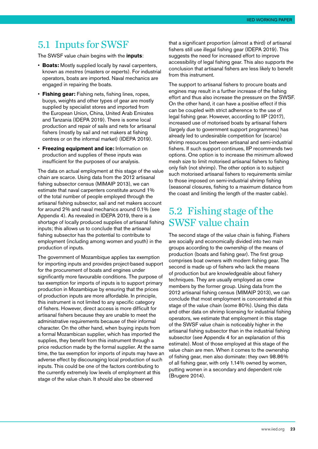#### <span id="page-22-0"></span>5.1 Inputs for SWSF

The SWSF value chain begins with the **inputs**:

- **Boats:** Mostly supplied locally by naval carpenters, known as *mestres* (masters or experts). For industrial operators, boats are imported. Naval mechanics are engaged in repairing the boats.
- **Fishing gear:** Fishing nets, fishing lines, ropes, buoys, weights and other types of gear are mostly supplied by specialist stores and imported from the European Union, China, United Arab Emirates and Tanzania (IDEPA 2019). There is some local production and repair of sails and nets for artisanal fishers (mostly by sail and net makers at fishing centres or on the informal market) (IDEPA 2019).
- **Freezing equipment and ice:** Information on production and supplies of these inputs was insufficient for the purposes of our analysis.

The data on actual employment at this stage of the value chain are scarce. Using data from the 2012 artisanal fishing subsector census (MIMAIP 2013), we can estimate that naval carpenters constitute around 1% of the total number of people employed through the artisanal fishing subsector, sail and net makers account for around 2% and naval mechanics around 0.1% (see Appendix 4). As revealed in IDEPA 2019, there is a shortage of locally produced supplies of artisanal fishing inputs; this allows us to conclude that the artisanal fishing subsector has the potential to contribute to employment (including among women and youth) in the production of inputs.

The government of Mozambique applies tax exemption for importing inputs and provides project-based support for the procurement of boats and engines under significantly more favourable conditions. The purpose of tax exemption for imports of inputs is to support primary production in Mozambique by ensuring that the prices of production inputs are more affordable. In principle, this instrument is not limited to any specific category of fishers. However, direct access is more difficult for artisanal fishers because they are unable to meet the administrative requirements because of their informal character. On the other hand, when buying inputs from a formal Mozambican supplier, which has imported the supplies, they benefit from this instrument through a price reduction made by the formal supplier. At the same time, the tax exemption for imports of inputs may have an adverse effect by discouraging local production of such inputs. This could be one of the factors contributing to the currently extremely low levels of employment at this stage of the value chain. It should also be observed

that a significant proportion (almost a third) of artisanal fishers still use illegal fishing gear (IDEPA 2019). This suggests the need for increased effort to improve accessibility of legal fishing gear. This also supports the conclusion that artisanal fishers are less likely to benefit from this instrument.

The support to artisanal fishers to procure boats and engines may result in a further increase of the fishing effort and thus also increase the pressure on the SWSF. On the other hand, it can have a positive effect if this can be coupled with strict adherence to the use of legal fishing gear. However, according to IIP (2017), increased use of motorised boats by artisanal fishers (largely due to government support programmes) has already led to undesirable competition for (scarce) shrimp resources between artisanal and semi-industrial fishers. If such support continues, IIP recommends two options. One option is to increase the minimum allowed mesh size to limit motorised artisanal fishers to fishing only fish (not shrimp). The other option is to subject such motorised artisanal fishers to requirements similar to those imposed on semi-industrial shrimp fishing (seasonal closures, fishing to a maximum distance from the coast and limiting the length of the master cable).

#### 5.2 Fishing stage of the SWSF value chain

The second stage of the value chain is fishing. Fishers are socially and economically divided into two main groups according to the ownership of the means of production (boats and fishing gear). The first group comprises boat owners with modern fishing gear. The second is made up of fishers who lack the means of production but are knowledgeable about fishery techniques. They are usually employed as crew members by the former group. Using data from the 2012 artisanal fishing census (MIMAIP 2013), we can conclude that most employment is concentrated at this stage of the value chain (some 80%). Using this data and other data on shrimp licensing for industrial fishing operators, we estimate that employment in this stage of the SWSF value chain is noticeably higher in the artisanal fishing subsector than in the industrial fishing subsector (see Appendix 4 for an explanation of this estimate). Most of those employed at this stage of the value chain are men. When it comes to the ownership of fishing gear, men also dominate: they own 98.86% of all fishing gear, with only 1.14% owned by women, putting women in a secondary and dependent role (Brugere 2014).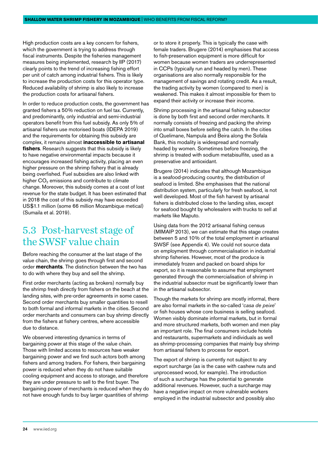<span id="page-23-0"></span>High production costs are a key concern for fishers, which the government is trying to address through fiscal instruments. Despite the fisheries management measures being implemented, research by IIP (2017) clearly points to the trend of increasing fishing effort per unit of catch among industrial fishers. This is likely to increase the production costs for this operator type. Reduced availability of shrimp is also likely to increase the production costs for artisanal fishers.

In order to reduce production costs, the government has granted fishers a 50% reduction on fuel tax. Currently, and predominantly, only industrial and semi-industrial operators benefit from this fuel subsidy. As only 5% of artisanal fishers use motorised boats (IDEPA 2019) and the requirements for obtaining this subsidy are complex, it remains almost **inaccessible to artisanal fishers**. Research suggests that this subsidy is likely to have negative environmental impacts because it encourages increased fishing activity, placing an even higher pressure on the shrimp fishery that is already being overfished. Fuel subsidies are also linked with higher CO<sub>2</sub> emissions and contribute to climate change. Moreover, this subsidy comes at a cost of lost revenue for the state budget. It has been estimated that in 2018 the cost of this subsidy may have exceeded US\$1.1 million (some 66 million Mozambique metical) (Sumaila et al. 2019).

#### 5.3 Post-harvest stage of the SWSF value chain

Before reaching the consumer at the last stage of the value chain, the shrimp goes through first and second order **merchants**. The distinction between the two has to do with where they buy and sell the shrimp.

First order merchants (acting as brokers) normally buy the shrimp fresh directly from fishers on the beach at the landing sites, with pre-order agreements in some cases. Second order merchants buy smaller quantities to resell to both formal and informal markets in the cities. Second order merchants and consumers can buy shrimp directly from the fishers at fishery centres, where accessible due to distance.

We observed interesting dynamics in terms of bargaining power at this stage of the value chain. Those with limited access to resources have weaker bargaining power and we find such actors both among fishers and among traders. For fishers, their bargaining power is reduced when they do not have suitable cooling equipment and access to storage, and therefore they are under pressure to sell to the first buyer. The bargaining power of merchants is reduced when they do not have enough funds to buy larger quantities of shrimp or to store it properly. This is typically the case with female traders. Brugere (2014) emphasises that access to fish-preservation equipment is more difficult for women because women traders are underrepresented in CCPs (typically run and headed by men). These organisations are also normally responsible for the management of savings and rotating credit. As a result, the trading activity by women (compared to men) is weakened. This makes it almost impossible for them to expand their activity or increase their income.

Shrimp processing in the artisanal fishing subsector is done by both first and second order merchants. It normally consists of freezing and packing the shrimp into small boxes before selling the catch. In the cities of Quelimane, Nampula and Beira along the Sofala Bank, this modality is widespread and normally headed by women. Sometimes before freezing, the shrimp is treated with sodium metabisulfite, used as a preservative and antioxidant.

Brugere (2014) indicates that although Mozambique is a seafood-producing country, the distribution of seafood is limited. She emphasises that the national distribution system, particularly for fresh seafood, is not well developed. Most of the fish harvest by artisanal fishers is distributed close to the landing sites, except for seafood bought by wholesalers with trucks to sell at markets like Maputo.

Using data from the 2012 artisanal fishing census (MIMAIP 2013), we can estimate that this stage creates between 5 and 10% of the total employment in artisanal SWSF (see Appendix 4). We could not source data on employment through commercialisation in industrial shrimp fisheries. However, most of the produce is immediately frozen and packed on board ships for export, so it is reasonable to assume that employment generated through the commercialisation of shrimp in the industrial subsector must be significantly lower than in the artisanal subsector.

Though the markets for shrimp are mostly informal, there are also formal markets in the so-called '*casa de peixe*' or fish houses whose core business is selling seafood. Women visibly dominate informal markets, but in formal and more structured markets, both women and men play an important role. The final consumers include hotels and restaurants, supermarkets and individuals as well as shrimp-processing companies that mainly buy shrimp from artisanal fishers to process for export.

The export of shrimp is currently not subject to any export surcharge (as is the case with cashew nuts and unprocessed wood, for example). The introduction of such a surcharge has the potential to generate additional revenues. However, such a surcharge may have a negative impact on more vulnerable workers employed in the industrial subsector and possibly also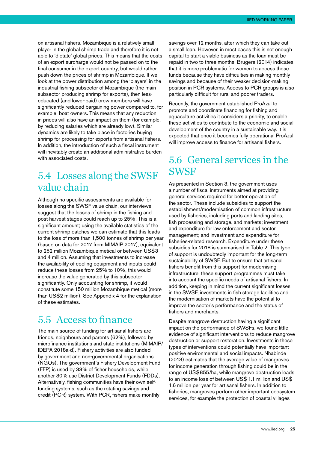<span id="page-24-0"></span>on artisanal fishers. Mozambique is a relatively small player in the global shrimp trade and therefore it is not able to 'dictate' global prices. This means that the costs of an export surcharge would not be passed on to the final consumer in the export country, but would rather push down the prices of shrimp in Mozambique. If we look at the power distribution among the 'players' in the industrial fishing subsector of Mozambique (the main subsector producing shrimp for exports), then lesseducated (and lower-paid) crew members will have significantly reduced bargaining power compared to, for example, boat owners. This means that any reduction in prices will also have an impact on them (for example, by reducing salaries which are already low). Similar dynamics are likely to take place in factories buying shrimp for processing for exports from artisanal fishers. In addition, the introduction of such a fiscal instrument will inevitably create an additional administrative burden with associated costs.

#### 5.4 Losses along the SWSF value chain

Although no specific assessments are available for losses along the SWSF value chain, our interviews suggest that the losses of shrimp in the fishing and post-harvest stages could reach up to 25%. This is a significant amount; using the available statistics of the current shrimp catches we can estimate that this leads to the loss of more than 1,500 tonnes of shrimp per year (based on data for 2017 from MIMAIP 2017), equivalent to 252 million Mozambique metical or between US\$3 and 4 million. Assuming that investments to increase the availability of cooling equipment and inputs could reduce these losses from 25% to 10%, this would increase the value generated by this subsector significantly. Only accounting for shrimp, it would constitute some 150 million Mozambique metical (more than US\$2 million). See Appendix 4 for the explanation of these estimates.

#### 5.5 Access to finance

The main source of funding for artisanal fishers are friends, neighbours and parents (62%), followed by microfinance institutions and state institutions (MIMAIP/ IDEPA 2018a-d). Fishery activities are also funded by government and non-governmental organisations (NGOs). The government's Fishery Development Fund (FFP) is used by 33% of fisher households, while another 30% use District Development Funds (FDDs). Alternatively, fishing communities have their own selffunding systems, such as the rotating savings and credit (PCR) system. With PCR, fishers make monthly

savings over 12 months, after which they can take out a small loan. However, in most cases this is not enough capital to start a viable business as the loan must be repaid in two to three months. Brugere (2014) indicates that it is more problematic for women to access these funds because they have difficulties in making monthly savings and because of their weaker decision-making position in PCR systems. Access to PCR groups is also particularly difficult for rural and poorer traders.

Recently, the government established ProAzul to promote and coordinate financing for fishing and aquaculture activities it considers a priority, to enable these activities to contribute to the economic and social development of the country in a sustainable way. It is expected that once it becomes fully operational ProAzul will improve access to finance for artisanal fishers.

#### 5.6 General services in the **SWSF**

As presented in Section 3, the government uses a number of fiscal instruments aimed at providing general services required for better operation of the sector. These include subsidies to support the establishment/modernisation of common infrastructure used by fisheries, including ports and landing sites, fish processing and storage, and markets; investment and expenditure for law enforcement and sector management; and investment and expenditure for fisheries-related research. Expenditure under these subsidies for 2018 is summarised in Table 2. This type of support is undoubtedly important for the long-term sustainability of SWSF. But to ensure that artisanal fishers benefit from this support for modernising infrastructure, these support programmes must take into account the specific needs of artisanal fishers. In addition, keeping in mind the current significant losses in the SWSF, investments in fish storage facilities and the modernisation of markets have the potential to improve the sector's performance and the status of fishers and merchants.

Despite mangrove destruction having a significant impact on the performance of SWSFs, we found little evidence of significant interventions to reduce mangrove destruction or support restoration. Investments in these types of interventions could potentially have important positive environmental and social impacts. Nhabinde (2013) estimates that the average value of mangroves for income generation through fishing could be in the range of US\$855/ha, while mangrove destruction leads to an income loss of between US\$ 1.1 million and US\$ 1.6 million per year for artisanal fishers. In addition to fisheries, mangroves perform other important ecosystem services, for example the protection of coastal villages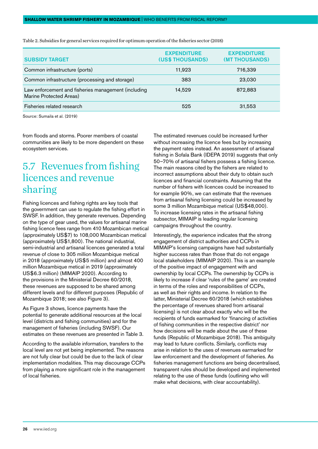| <b>SUBSIDY TARGET</b>                                                          | <b>EXPENDITURE</b><br>(US\$ THOUSANDS) | <b>EXPENDITURE</b><br>(MT THOUSANDS) |
|--------------------------------------------------------------------------------|----------------------------------------|--------------------------------------|
| Common infrastructure (ports)                                                  | 11,923                                 | 716,339                              |
| Common infrastructure (processing and storage)                                 | 383                                    | 23,030                               |
| Law enforcement and fisheries management (including<br>Marine Protected Areas) | 14.529                                 | 872,883                              |
| Fisheries related research                                                     | 525                                    | 31,553                               |

<span id="page-25-0"></span>Table 2. Subsidies for general services required for optimum operation of the fisheries sector (2018)

Source: Sumaila et al. (2019)

from floods and storms. Poorer members of coastal communities are likely to be more dependent on these ecosystem services.

#### 5.7 Revenues from fishing licences and revenue sharing

Fishing licences and fishing rights are key tools that the government can use to regulate the fishing effort in SWSF. In addition, they generate revenues. Depending on the type of gear used, the values for artisanal marine fishing licence fees range from 410 Mozambican metical (approximately US\$7) to 108,000 Mozambican metical (approximately US\$1,800). The national industrial, semi-industrial and artisanal licences generated a total revenue of close to 305 million Mozambique metical in 2018 (approximately US\$5 million) and almost 400 million Mozambique metical in 2019 (approximately US\$6.3 million) (MIMAIP 2020). According to the provisions in the Ministerial Decree 60/2018, these revenues are supposed to be shared among different levels and for different purposes (Republic of Mozambique 2018; see also Figure 3).

As Figure 3 shows, licence payments have the potential to generate additional resources at the local level (districts and fishing communities) and for the management of fisheries (including SWSF). Our estimates on these revenues are presented in Table 3.

According to the available information, transfers to the local level are not yet being implemented. The reasons are not fully clear but could be due to the lack of clear implementation modalities. This may discourage CCPs from playing a more significant role in the management of local fisheries.

The estimated revenues could be increased further without increasing the licence fees but by increasing the payment rates instead. An assessment of artisanal fishing in Sofala Bank (IDEPA 2019) suggests that only 50–70% of artisanal fishers possess a fishing licence. The main reasons cited by the fishers are related to incorrect assumptions about their duty to obtain such licences and financial constraints. Assuming that the number of fishers with licences could be increased to for example 90%, we can estimate that the revenues from artisanal fishing licensing could be increased by some 3 million Mozambique metical (US\$48,000). To increase licensing rates in the artisanal fishing subsector, MIMAIP is leading regular licensing campaigns throughout the country.

Interestingly, the experience indicates that the strong engagement of district authorities and CCPs in MIMAIP's licensing campaigns have had substantially higher success rates than those that do not engage local stakeholders (MIMAIP 2020). This is an example of the positive impact of engagement with and ownership by local CCPs. The ownership by CCPs is likely to increase if clear 'rules of the game' are created in terms of the roles and responsibilities of CCPs, as well as their rights and income. In relation to the latter, Ministerial Decree 60/2018 (which establishes the percentage of revenues shared from artisanal licensing) is not clear about exactly who will be the recipients of funds earmarked for 'financing of activities of fishing communities in the respective district' nor how decisions will be made about the use of these funds (Republic of Mozambique 2018). This ambiguity may lead to future conflicts. Similarly, conflicts may arise in relation to the uses of revenues earmarked for law enforcement and the development of fisheries. As fisheries management functions are being decentralised, transparent rules should be developed and implemented relating to the use of these funds (outlining who will make what decisions, with clear accountability).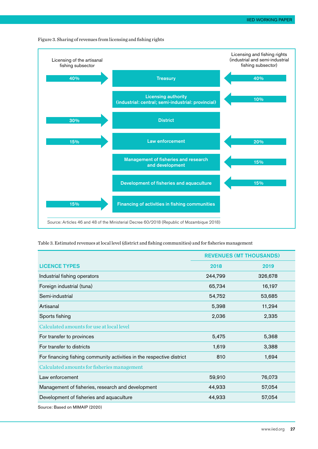<span id="page-26-0"></span>Figure 3. Sharing of revenues from licensing and fishing rights



Table 3. Estimated revenues at local level (district and fishing communities) and for fisheries management

|                                                                       |         | <b>REVENUES (MT THOUSANDS)</b> |
|-----------------------------------------------------------------------|---------|--------------------------------|
| <b>LICENCE TYPES</b>                                                  | 2018    | 2019                           |
| Industrial fishing operators                                          | 244,799 | 326,678                        |
| Foreign industrial (tuna)                                             | 65,734  | 16,197                         |
| Semi-industrial                                                       | 54,752  | 53,685                         |
| Artisanal                                                             | 5,398   | 11,294                         |
| Sports fishing                                                        | 2,036   | 2,335                          |
| Calculated amounts for use at local level                             |         |                                |
| For transfer to provinces                                             | 5,475   | 5,368                          |
| For transfer to districts                                             | 1,619   | 3,388                          |
| For financing fishing community activities in the respective district | 810     | 1,694                          |
| Calculated amounts for fisheries management                           |         |                                |
| Law enforcement                                                       | 59,910  | 76,073                         |
| Management of fisheries, research and development                     | 44,933  | 57,054                         |
| Development of fisheries and aquaculture                              | 44,933  | 57,054                         |
| Source: Based on MIMAIP (2020)                                        |         |                                |

[www.iied.org](http://www.iied.org) 27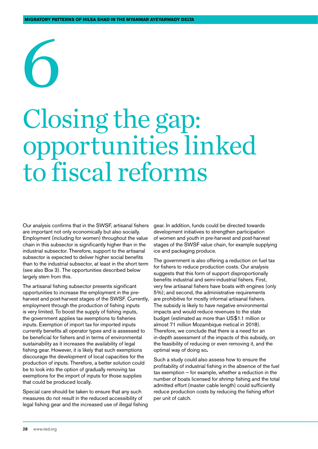# <span id="page-27-0"></span>6

## Closing the gap: opportunities linked to fiscal reforms

Our analysis confirms that in the SWSF, artisanal fishers are important not only economically but also socially. Employment (including for women) throughout the value chain in this subsector is significantly higher than in the industrial subsector. Therefore, support to the artisanal subsector is expected to deliver higher social benefits than to the industrial subsector, at least in the short term (see also Box 3). The opportunities described below largely stem from this.

The artisanal fishing subsector presents significant opportunities to increase the employment in the preharvest and post-harvest stages of the SWSF. Currently, employment through the production of fishing inputs is very limited. To boost the supply of fishing inputs, the government applies tax exemptions to fisheries inputs. Exemption of import tax for imported inputs currently benefits all operator types and is assessed to be beneficial for fishers and in terms of environmental sustainability as it increases the availability of legal fishing gear. However, it is likely that such exemptions discourage the development of local capacities for the production of inputs. Therefore, a better solution could be to look into the option of gradually removing tax exemptions for the import of inputs for those supplies that could be produced locally.

Special care should be taken to ensure that any such measures do not result in the reduced accessibility of legal fishing gear and the increased use of illegal fishing gear. In addition, funds could be directed towards development initiatives to strengthen participation of women and youth in pre-harvest and post-harvest stages of the SWSF value chain, for example supplying ice and packaging produce.

The government is also offering a reduction on fuel tax for fishers to reduce production costs. Our analysis suggests that this form of support disproportionally benefits industrial and semi-industrial fishers. First, very few artisanal fishers have boats with engines (only 5%); and second, the administrative requirements are prohibitive for mostly informal artisanal fishers. The subsidy is likely to have negative environmental impacts and would reduce revenues to the state budget (estimated as more than US\$1.1 million or almost 71 million Mozambique metical in 2018). Therefore, we conclude that there is a need for an in-depth assessment of the impacts of this subsidy, on the feasibility of reducing or even removing it, and the optimal way of doing so**.** 

Such a study could also assess how to ensure the profitability of industrial fishing in the absence of the fuel tax exemption – for example, whether a reduction in the number of boats licensed for shrimp fishing and the total admitted effort (master cable length) could sufficiently reduce production costs by reducing the fishing effort per unit of catch.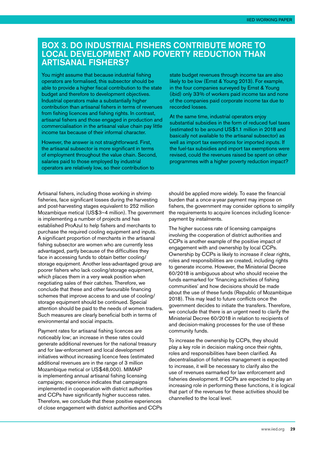#### <span id="page-28-0"></span>Box 3. Do industrial fishers contribute more to local development and poverty reduction than artisanal fishers?

You might assume that because industrial fishing operators are formalised, this subsector should be able to provide a higher fiscal contribution to the state budget and therefore to development objectives. Industrial operators make a substantially higher contribution than artisanal fishers in terms of revenues from fishing licences and fishing rights. In contrast, artisanal fishers and those engaged in production and commercialisation in the artisanal value chain pay little income tax because of their informal character.

However, the answer is not straightforward. First, the artisanal subsector is more significant in terms of employment throughout the value chain. Second, salaries paid to those employed by industrial operators are relatively low, so their contribution to

state budget revenues through income tax are also likely to be low (Ernst & Young 2013). For example, in the four companies surveyed by Ernst & Young (ibid) only 33% of workers paid income tax and none of the companies paid corporate income tax due to recorded losses.

At the same time, industrial operators enjoy substantial subsidies in the form of reduced fuel taxes (estimated to be around US\$1.1 million in 2018 and basically not available to the artisanal subsector) as well as import tax exemptions for imported inputs. If the fuel-tax subsidies and import tax exemptions were revised, could the revenues raised be spent on other programmes with a higher poverty reduction impact?

Artisanal fishers, including those working in shrimp fisheries, face significant losses during the harvesting and post-harvesting stages equivalent to 252 million Mozambique metical (US\$3–4 million). The government is implementing a number of projects and has established ProAzul to help fishers and merchants to purchase the required cooling equipment and inputs. A significant proportion of merchants in the artisanal fishing subsector are women who are currently less advantaged, partly because of the difficulties they face in accessing funds to obtain better cooling/ storage equipment. Another less-advantaged group are poorer fishers who lack cooling/storage equipment, which places them in a very weak position when negotiating sales of their catches. Therefore, we conclude that these and other favourable financing schemes that improve access to and use of cooling/ storage equipment should be continued. Special attention should be paid to the needs of women traders. Such measures are clearly beneficial both in terms of environmental and social impacts.

Payment rates for artisanal fishing licences are noticeably low; an increase in these rates could generate additional revenues for the national treasury and for law-enforcement and local development initiatives without increasing licence fees (estimated additional revenues are in the range of 3 million Mozambique metical or US\$48,000). MIMAIP is implementing annual artisanal fishing licensing campaigns; experience indicates that campaigns implemented in cooperation with district authorities and CCPs have significantly higher success rates. Therefore, we conclude that these positive experiences of close engagement with district authorities and CCPs should be applied more widely. To ease the financial burden that a once-a-year payment may impose on fishers, the government may consider options to simplify the requirements to acquire licences including licencepayment by instalments.

The higher success rate of licensing campaigns involving the cooperation of district authorities and CCPs is another example of the positive impact of engagement with and ownership by local CCPs. Ownership by CCPs is likely to increase if clear rights, roles and responsibilities are created, including rights to generate income. However, the Ministerial Decree 60/2018 is ambiguous about who should receive the funds earmarked for 'financing activities of fishing communities' and how decisions should be made about the use of these funds (Republic of Mozambique 2018). This may lead to future conflicts once the government decides to initiate the transfers. Therefore, we conclude that there is an urgent need to clarify the Ministerial Decree 60/2018 in relation to recipients of and decision-making processes for the use of these community funds.

To increase the ownership by CCPs, they should play a key role in decision making once their rights, roles and responsibilities have been clarified. As decentralisation of fisheries management is expected to increase, it will be necessary to clarify also the use of revenues earmarked for law enforcement and fisheries development. If CCPs are expected to play an increasing role in performing these functions, it is logical that part of the revenues for these activities should be channelled to the local level.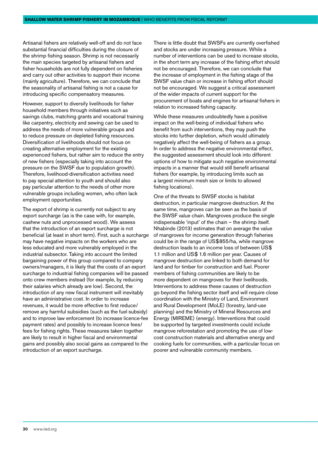Artisanal fishers are relatively well-off and do not face substantial financial difficulties during the closure of the shrimp fishing season. Shrimp is not necessarily the main species targeted by artisanal fishers and fisher households are not fully dependent on fisheries and carry out other activities to support their income (mainly agriculture). Therefore, we can conclude that the seasonality of artisanal fishing is not a cause for introducing specific compensatory measures.

However, support to diversify livelihoods for fisher household members through initiatives such as savings clubs, matching grants and vocational training like carpentry, electricity and sewing can be used to address the needs of more vulnerable groups and to reduce pressure on depleted fishing resources. Diversification of livelihoods should not focus on creating alternative employment for the existing experienced fishers, but rather aim to reduce the entry of new fishers (especially taking into account the pressure on the SWSF due to population growth). Therefore, livelihood-diversification activities need to pay special attention to youth and should also pay particular attention to the needs of other more vulnerable groups including women, who often lack employment opportunities.

The export of shrimp is currently not subject to any export surcharge (as is the case with, for example, cashew nuts and unprocessed wood). We assess that the introduction of an export surcharge is not beneficial (at least in short term). First, such a surcharge may have negative impacts on the workers who are less educated and more vulnerably employed in the industrial subsector. Taking into account the limited bargaining power of this group compared to company owners/managers, it is likely that the costs of an export surcharge to industrial fishing companies will be passed onto crew members instead (for example, by reducing their salaries which already are low). Second, the introduction of any new fiscal instrument will inevitably have an administrative cost. In order to increase revenues, it would be more effective to first reduce/ remove any harmful subsidies (such as the fuel subsidy) and to improve law enforcement (to increase licence-fee payment rates) and possibly to increase licence fees/ fees for fishing rights. These measures taken together are likely to result in higher fiscal and environmental gains and possibly also social gains as compared to the introduction of an export surcharge.

There is little doubt that SWSFs are currently overfished and stocks are under increasing pressure. While a number of interventions can be used to increase stocks, in the short term any increase of the fishing effort should not be encouraged. Therefore, we can conclude that the increase of employment in the fishing stage of the SWSF value chain or increase in fishing effort should not be encouraged. We suggest a critical assessment of the wider impacts of current support for the procurement of boats and engines for artisanal fishers in relation to increased fishing capacity.

While these measures undoubtedly have a positive impact on the well-being of individual fishers who benefit from such interventions, they may push the stocks into further depletion, which would ultimately negatively affect the well-being of fishers as a group. In order to address the negative environmental effect, the suggested assessment should look into different options of how to mitigate such negative environmental impacts in a manner that would still benefit artisanal fishers (for example, by introducing limits such as a largest minimum mesh size or limits to allowed fishing locations).

One of the threats to SWSF stocks is habitat destruction, in particular mangrove destruction. At the same time, mangroves can be seen as the basis of the SWSF value chain. Mangroves produce the single indispensable 'input' of the chain – the shrimp itself. Nhabinde (2013) estimates that on average the value of mangroves for income generation through fisheries could be in the range of US\$855/ha, while mangrove destruction leads to an income loss of between US\$ 1.1 million and US\$ 1.6 million per year. Causes of mangrove destruction are linked to both demand for land and for timber for construction and fuel. Poorer members of fishing communities are likely to be more dependent on mangroves for their livelihoods. Interventions to address these causes of destruction go beyond the fishing sector itself and will require close coordination with the Ministry of Land, Environment and Rural Development (MoLE) (forestry, land-use planning) and the Ministry of Mineral Resources and Energy (MIREME) (energy). Interventions that could be supported by targeted investments could include mangrove reforestation and promoting the use of lowcost construction materials and alternative energy and cooking fuels for communities, with a particular focus on poorer and vulnerable community members.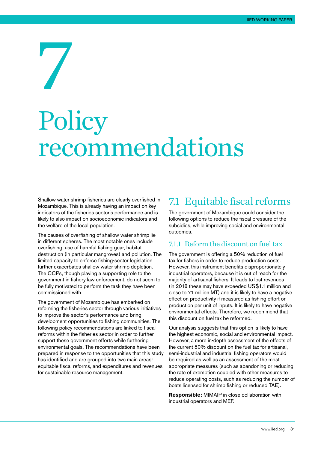## <span id="page-30-0"></span>7 Policy recommendations

Shallow water shrimp fisheries are clearly overfished in Mozambique. This is already having an impact on key indicators of the fisheries sector's performance and is likely to also impact on socioeconomic indicators and the welfare of the local population.

The causes of overfishing of shallow water shrimp lie in different spheres. The most notable ones include overfishing, use of harmful fishing gear, habitat destruction (in particular mangroves) and pollution. The limited capacity to enforce fishing-sector legislation further exacerbates shallow water shrimp depletion. The CCPs, though playing a supporting role to the government in fishery law enforcement, do not seem to be fully motivated to perform the task they have been commissioned with.

The government of Mozambique has embarked on reforming the fisheries sector through various initiatives to improve the sector's performance and bring development opportunities to fishing communities. The following policy recommendations are linked to fiscal reforms within the fisheries sector in order to further support these government efforts while furthering environmental goals. The recommendations have been prepared in response to the opportunities that this study has identified and are grouped into two main areas: equitable fiscal reforms, and expenditures and revenues for sustainable resource management.

#### 7.1 Equitable fiscal reforms

The government of Mozambique could consider the following options to reduce the fiscal pressure of the subsidies, while improving social and environmental outcomes.

#### 7.1.1 Reform the discount on fuel tax

The government is offering a 50% reduction of fuel tax for fishers in order to reduce production costs. However, this instrument benefits disproportionately industrial operators, because it is out of reach for the majority of artisanal fishers. It leads to lost revenues (in 2018 these may have exceeded US\$1.1 million and close to 71 million MT) and it is likely to have a negative effect on productivity if measured as fishing effort or production per unit of inputs. It is likely to have negative environmental effects. Therefore, we recommend that this discount on fuel tax be reformed.

Our analysis suggests that this option is likely to have the highest economic, social and environmental impact. However, a more in-depth assessment of the effects of the current 50% discount on the fuel tax for artisanal, semi-industrial and industrial fishing operators would be required as well as an assessment of the most appropriate measures (such as abandoning or reducing the rate of exemption coupled with other measures to reduce operating costs, such as reducing the number of boats licensed for shrimp fishing or reduced TAE).

**Responsible:** MIMAIP in close collaboration with industrial operators and MEF.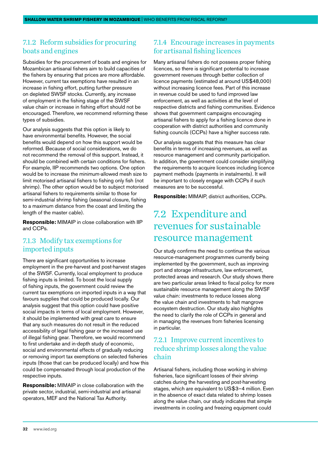#### <span id="page-31-0"></span>7.1.2 Reform subsidies for procuring boats and engines

Subsidies for the procurement of boats and engines for Mozambican artisanal fishers aim to build capacities of the fishers by ensuring that prices are more affordable. However, current tax exemptions have resulted in an increase in fishing effort, putting further pressure on depleted SWSF stocks. Currently, any increase of employment in the fishing stage of the SWSF value chain or increase in fishing effort should not be encouraged. Therefore, we recommend reforming these types of subsidies.

Our analysis suggests that this option is likely to have environmental benefits. However, the social benefits would depend on how this support would be reformed. Because of social considerations, we do not recommend the removal of this support. Instead, it should be combined with certain conditions for fishers. For example, IIP recommends two options. One option would be to increase the minimum-allowed mesh size to limit motorised artisanal fishers to fishing only fish (not shrimp). The other option would be to subject motorised artisanal fishers to requirements similar to those for semi-industrial shrimp fishing (seasonal closure, fishing to a maximum distance from the coast and limiting the length of the master cable).

**Responsible:** MIMAIP in close collaboration with IIP and CCPs.

#### 7.1.3 Modify tax exemptions for imported inputs

There are significant opportunities to increase employment in the pre-harvest and post-harvest stages of the SWSF. Currently, local employment to produce fishing inputs is limited. To boost the local supply of fishing inputs, the government could review the current tax exemptions on imported inputs in a way that favours supplies that could be produced locally. Our analysis suggest that this option could have positive social impacts in terms of local employment. However, it should be implemented with great care to ensure that any such measures do not result in the reduced accessibility of legal fishing gear or the increased use of illegal fishing gear. Therefore, we would recommend to first undertake and in-depth study of economic, social and environmental effects of gradually reducing or removing import tax exemptions on selected fisheries inputs (those that can be produced locally) and how this could be compensated through local production of the respective inputs.

**Responsible:** MIMAIP in close collaboration with the private sector, industrial, semi-industrial and artisanal operators, MEF and the National Tax Authority.

#### 7.1.4 Encourage increases in payments for artisanal fishing licences

Many artisanal fishers do not possess proper fishing licences, so there is significant potential to increase government revenues through better collection of licence payments (estimated at around US\$48,000) without increasing licence fees. Part of this increase in revenue could be used to fund improved law enforcement, as well as activities at the level of respective districts and fishing communities. Evidence shows that government campaigns encouraging artisanal fishers to apply for a fishing licence done in cooperation with district authorities and community fishing councils (CCPs) have a higher success rate.

Our analysis suggests that this measure has clear benefits in terms of increasing revenues, as well as resource management and community participation. In addition, the government could consider simplifying the requirements to acquire licences including licence payment methods (payments in instalments). It will be important to closely engage with CCPs if such measures are to be successful.

**Responsible:** MIMAIP, district authorities, CCPs.

#### 7.2 Expenditure and revenues for sustainable resource management

Our study confirms the need to continue the various resource-management programmes currently being implemented by the government, such as improving port and storage infrastructure, law enforcement, protected areas and research. Our study shows there are two particular areas linked to fiscal policy for more sustainable resource management along the SWSF value chain: investments to reduce losses along the value chain and investments to halt mangrove ecosystem destruction. Our study also highlights the need to clarify the role of CCPs in general and in managing the revenues from fisheries licensing in particular.

#### 7.2.1 Improve current incentives to reduce shrimp losses along the value chain

Artisanal fishers, including those working in shrimp fisheries, face significant losses of their shrimp catches during the harvesting and post-harvesting stages, which are equivalent to US\$3–4 million. Even in the absence of exact data related to shrimp losses along the value chain, our study indicates that simple investments in cooling and freezing equipment could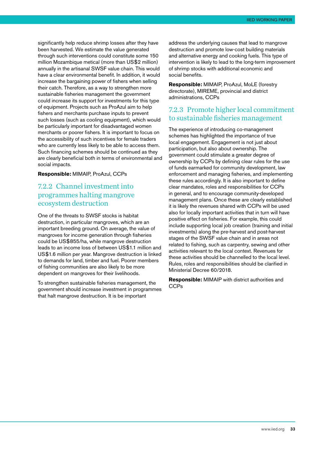significantly help reduce shrimp losses after they have been harvested. We estimate the value generated through such interventions could constitute some 150 million Mozambique metical (more than US\$2 million) annually in the artisanal SWSF value chain. This would have a clear environmental benefit. In addition, it would increase the bargaining power of fishers when selling their catch. Therefore, as a way to strengthen more sustainable fisheries management the government could increase its support for investments for this type of equipment. Projects such as ProAzul aim to help fishers and merchants purchase inputs to prevent such losses (such as cooling equipment), which would be particularly important for disadvantaged women merchants or poorer fishers. It is important to focus on the accessibility of such incentives for female traders who are currently less likely to be able to access them. Such financing schemes should be continued as they are clearly beneficial both in terms of environmental and social impacts.

#### **Responsible:** MIMAIP, ProAzul, CCPs

#### 7.2.2 Channel investment into programmes halting mangrove ecosystem destruction

One of the threats to SWSF stocks is habitat destruction, in particular mangroves, which are an important breeding ground. On average, the value of mangroves for income generation through fisheries could be US\$855/ha, while mangrove destruction leads to an income loss of between US\$1.1 million and US\$1.6 million per year. Mangrove destruction is linked to demands for land, timber and fuel. Poorer members of fishing communities are also likely to be more dependent on mangroves for their livelihoods.

To strengthen sustainable fisheries management, the government should increase investment in programmes that halt mangrove destruction. It is be important

address the underlying causes that lead to mangrove destruction and promote low-cost building materials and alternative energy and cooking fuels. This type of intervention is likely to lead to the long-term improvement of shrimp stocks with additional economic and social benefits.

**Responsible:** MIMAIP, ProAzul, MoLE (forestry directorate), MIREME, provincial and district administrations, CCPs

#### 7.2.3 Promote higher local commitment to sustainable fisheries management

The experience of introducing co-management schemes has highlighted the importance of true local engagement. Engagement is not just about participation, but also about ownership. The government could stimulate a greater degree of ownership by CCPs by defining clear rules for the use of funds earmarked for community development, law enforcement and managing fisheries, and implementing these rules accordingly. It is also important to define clear mandates, roles and responsibilities for CCPs in general, and to encourage community-developed management plans. Once these are clearly established it is likely the revenues shared with CCPs will be used also for locally important activities that in turn will have positive effect on fisheries. For example, this could include supporting local job creation (training and initial investments) along the pre-harvest and post-harvest stages of the SWSF value chain and in areas not related to fishing, such as carpentry, sewing and other activities relevant to the local context. Revenues for these activities should be channelled to the local level. Rules, roles and responsibilities should be clarified in Ministerial Decree 60/2018.

**Responsible:** MIMAIP with district authorities and CCPs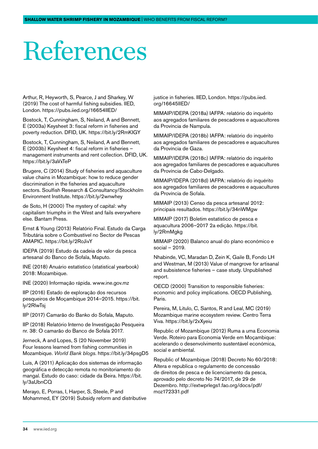## <span id="page-33-0"></span>References

Arthur, R, Heyworth, S, Pearce, J and Sharkey, W (2019) The cost of harmful fishing subsidies. IIED, London.<https://pubs.iied.org/16654IIED/>

Bostock, T, Cunningham, S, Neiland, A and Bennett, E (2003a) Keysheet 3: fiscal reform in fisheries and poverty reduction. DFID, UK.<https://bit.ly/2RmKIGY>

Bostock, T, Cunningham, S, Neiland, A and Bennett, E (2003b) Keysheet 4: fiscal reform in fisheries – management instruments and rent collection. DFID, UK. <https://bit.ly/3aVxTeP>

Brugere, C (2014) Study of fisheries and aquaculture value chains in Mozambique: how to reduce gender discrimination in the fisheries and aquaculture sectors. Soulfish Research & Consultancy/Stockholm Environment Institute.<https://bit.ly/2wnwhey>

de Soto, H (2000) The mystery of capital: why capitalism triumphs in the West and fails everywhere else. Bantam Press.

Ernst & Young (2013) Relatório Final. Estudo da Carga Tributária sobre o Combustível no Sector de Pescas AMAPIC. https://bit.ly/2RoJivY

IDEPA (2019) Estudo da cadeia de valor da pesca artesanal do Banco de Sofala, Maputo.

INE (2018) Anuário estatístico (statistical yearbook) 2018: Mozambique.

INE (2020) Informação rápida. [www.ine.gov.mz](http://www.ine.gov.mz/)

IIP (2016) Estado de exploração dos recursos pesqueiros de Moçambique 2014–2015. [https://bit.](https://bit.ly/2RlwTsj) [ly/2RlwTsj](https://bit.ly/2RlwTsj)

IIP (2017) Camarão do Banko do Sofala, Maputo.

IIP (2018) Relatório Interno de Investigação Pesqueira nr. 38: O camarão do Banco de Sofala 2017.

Jerneck, A and Lopes, S (20 November 2019) Four lessons learned from fishing communities in Mozambique. *World Bank blogs*. https://bit.ly/34psgD5

Luís, A (2011) Aplicação dos sistemas de informação geográfica e detecção remota no monitoriamento do mangal. Estudo do caso: cidade da Beira. [https://bit.](https://bit.ly/3aUbnCQ) [ly/3aUbnCQ](https://bit.ly/3aUbnCQ)

Merayo, E, Porras, I, Harper, S, Steele, P and Mohammed, EY (2019) Subsidy reform and distributive justice in fisheries. IIED, London. [https://pubs.iied.](https://pubs.iied.org/16645IIED/) [org/16645IIED/](https://pubs.iied.org/16645IIED/)

MIMAIP/IDEPA (2018a) IAFPA: relatório do inquérito aos agregados familiares de pescadores e aquacultores da Província de Nampula.

MIMAIP/IDEPA (2018b) IAFPA: relatório do inquérito aos agregados familiares de pescadores e aquacultures da Província de Gaza.

MIMAIP/IDEPA (2018c) IAFPA: relatório do inquérito aos agregados familiares de pescadores e aquacultures da Província de Cabo-Delgado.

MIMAIP/IDEPA (2018d) IAFPA: relatório do inquérito aos agregados familiares de pescadores e aquacultures da Província de Sofala.

MIMAIP (2013) Censo da pesca artesanal 2012: principais resultados. <https://bit.ly/34nWMgw>

MIMAIP (2017) Boletim estatístico de pesca e aquacultura 2006–2017 2a edição. [https://bit.](https://bit.ly/2RmMgkg) [ly/2RmMgkg](https://bit.ly/2RmMgkg)

MIMAIP (2020) Balanco anual do plano económico e social – 2019.

Nhabinde, VC, Maradan D, Zein K, Gaile B, Fondo LH and Westman, M (2013) Value of mangrove for artisanal and subsistence fisheries – case study. Unpublished report.

OECD (2000) Transition to responsible fisheries: economic and policy implications. OECD Publishing, Paris.

Pereira, M, Litulo, C, Santos, R and Leal, MC (2019) Mozambique marine ecosystem review. Centro Terra Viva. https://bit.ly/2xXyeiu

Republic of Mozambique (2012) Ruma a uma Economia Verde. Roteiro para Economia Verde em Moçambique: acelerando o desenvolvimento sustentável económica, social e ambiental.

Republic of Mozambique (2018) Decreto No 60/2018: Altera e republica o regulamento de concessão de direitos de pesca e de licenciamento da pesca, aprovado pelo decreto No 74/2017, de 29 de Dezembro. [http://extwprlegs1.fao.org/docs/pdf/](http://extwprlegs1.fao.org/docs/pdf/moz172331.pdf) [moz172331.pdf](http://extwprlegs1.fao.org/docs/pdf/moz172331.pdf)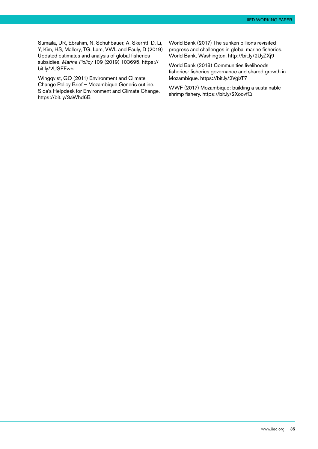Sumaila, UR, Ebrahim, N, Schuhbauer, A, Skerritt, D, Li, Y, Kim, HS, Mallory, TG, Lam, VWL and Pauly, D (2019) Updated estimates and analysis of global fisheries subsidies. *Marine Policy* 109 (2019) 103695. [https://](https://bit.ly/2USEFw5) [bit.ly/2USEFw5](https://bit.ly/2USEFw5)

Wingqvist, GO (2011) Environment and Climate Change Policy Brief – Mozambique Generic outline. Sida's Helpdesk for Environment and Climate Change. https://bit.ly/3aWhd6B

World Bank (2017) The sunken billions revisited: progress and challenges in global marine fisheries. World Bank, Washington.<http://bit.ly/2UyZXj9>

World Bank (2018) Communities livelihoods fisheries: fisheries governance and shared growth in Mozambique. https://bit.ly/2VgizT7

WWF (2017) Mozambique: building a sustainable shrimp fishery.<https://bit.ly/2XoovfQ>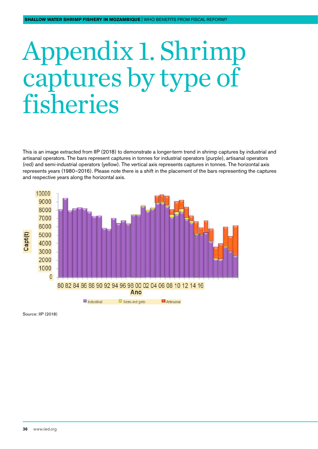## <span id="page-35-0"></span>Appendix 1. Shrimp captures by type of fisheries

This is an image extracted from IIP (2018) to demonstrate a longer-term trend in shrimp captures by industrial and artisanal operators. The bars represent captures in tonnes for industrial operators (purple), artisanal operators (red) and semi-industrial operators (yellow). The vertical axis represents captures in tonnes. The horizontal axis represents years (1980–2016). Please note there is a shift in the placement of the bars representing the captures and respective years along the horizontal axis.



Source: IIP (2018)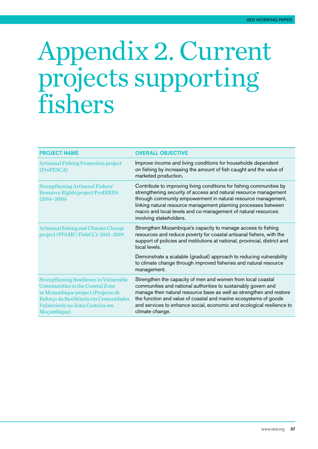### <span id="page-36-0"></span>Appendix 2. Current projects supporting fishers

| <b>PROJECT NAME</b>                                                                                                                                                                                               | <b>OVERALL OBJECTIVE</b>                                                                                                                                                                                                                                                                                                                                                |
|-------------------------------------------------------------------------------------------------------------------------------------------------------------------------------------------------------------------|-------------------------------------------------------------------------------------------------------------------------------------------------------------------------------------------------------------------------------------------------------------------------------------------------------------------------------------------------------------------------|
| <b>Artisanal Fishing Promotion project</b><br>(ProPESCA)                                                                                                                                                          | Improve income and living conditions for households dependent<br>on fishing by increasing the amount of fish caught and the value of<br>marketed production.                                                                                                                                                                                                            |
| Strengthening Artisanal Fishers'<br>Resource Rights project ProDIRPA<br>$(2014 - 2016)$                                                                                                                           | Contribute to improving living conditions for fishing communities by<br>strengthening security of access and natural resource management<br>through community empowerment in natural resource management,<br>linking natural resource management planning processes between<br>macro and local levels and co-management of natural resources<br>involving stakeholders. |
| Artisanal fishing and Climate Change<br>project (PPAMC/FishCC): 2015-2019                                                                                                                                         | Strengthen Mozambique's capacity to manage access to fishing<br>resources and reduce poverty for coastal artisanal fishers, with the<br>support of policies and institutions at national, provincial, district and<br>local levels.                                                                                                                                     |
|                                                                                                                                                                                                                   | Demonstrate a scalable (gradual) approach to reducing vulnerability<br>to climate change through improved fisheries and natural resource<br>management.                                                                                                                                                                                                                 |
| <b>Strengthening Resilience in Vulnerable</b><br>Communities in the Coastal Zone<br>in Mozambique project (Projecto de<br>Reforço da Resiliência em Comunidades<br>Vulneráveis na Zona Costeira em<br>Moçambique) | Strengthen the capacity of men and women from local coastal<br>communities and national authorities to sustainably govern and<br>manage their natural resource base as well as strengthen and restore<br>the function and value of coastal and marine ecosystems of goods<br>and services to enhance social, economic and ecological resilience to<br>climate change.   |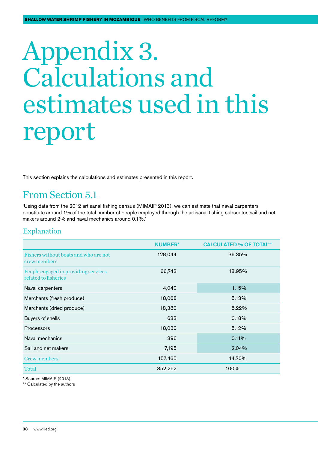## <span id="page-37-0"></span>Appendix 3. Calculations and estimates used in this report

This section explains the calculations and estimates presented in this report.

#### From Section 5.1

'Using data from the 2012 artisanal fishing census (MIMAIP 2013), we can estimate that naval carpenters constitute around 1% of the total number of people employed through the artisanal fishing subsector, sail and net makers around 2% and naval mechanics around 0.1%.'

#### Explanation

|                                                              | <b>NUMBER*</b> | <b>CALCULATED % OF TOTAL**</b> |
|--------------------------------------------------------------|----------------|--------------------------------|
| Fishers without boats and who are not<br>crew members        | 128,044        | 36.35%                         |
| People engaged in providing services<br>related to fisheries | 66,743         | 18.95%                         |
| Naval carpenters                                             | 4,040          | 1.15%                          |
| Merchants (fresh produce)                                    | 18,068         | 5.13%                          |
| Merchants (dried produce)                                    | 18,380         | 5.22%                          |
| Buyers of shells                                             | 633            | 0.18%                          |
| <b>Processors</b>                                            | 18,030         | 5.12%                          |
| Naval mechanics                                              | 396            | 0.11%                          |
| Sail and net makers                                          | 7,195          | 2.04%                          |
| Crew members                                                 | 157,465        | 44.70%                         |
| Total                                                        | 352,252        | 100%                           |

\* Source: MIMAIP (2013)

\*\* Calculated by the authors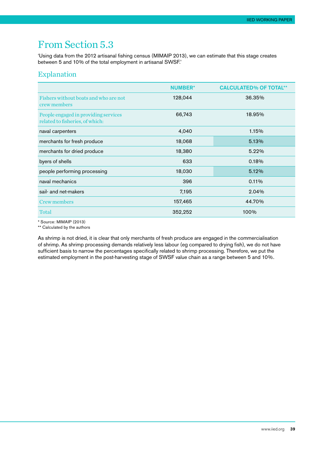#### From Section 5.3

'Using data from the 2012 artisanal fishing census (MIMAIP 2013), we can estimate that this stage creates between 5 and 10% of the total employment in artisanal SWSF.'

#### Explanation

|                                                                         | <b>NUMBER*</b> | <b>CALCULATED% OF TOTAL**</b> |
|-------------------------------------------------------------------------|----------------|-------------------------------|
| Fishers without boats and who are not<br>crew members                   | 128,044        | 36.35%                        |
| People engaged in providing services<br>related to fisheries, of which: | 66,743         | 18.95%                        |
| naval carpenters                                                        | 4,040          | 1.15%                         |
| merchants for fresh produce                                             | 18,068         | 5.13%                         |
| merchants for dried produce                                             | 18,380         | 5.22%                         |
| byers of shells                                                         | 633            | 0.18%                         |
| people performing processing                                            | 18,030         | 5.12%                         |
| naval mechanics                                                         | 396            | 0.11%                         |
| sail- and net-makers                                                    | 7,195          | 2.04%                         |
| Crew members                                                            | 157,465        | 44.70%                        |
| Total                                                                   | 352,252        | 100%                          |

\* Source: MIMAIP (2013)

\*\* Calculated by the authors

As shrimp is not dried, it is clear that only merchants of fresh produce are engaged in the commercialisation of shrimp. As shrimp processing demands relatively less labour (eg compared to drying fish), we do not have sufficient basis to narrow the percentages specifically related to shrimp processing. Therefore, we put the estimated employment in the post-harvesting stage of SWSF value chain as a range between 5 and 10%.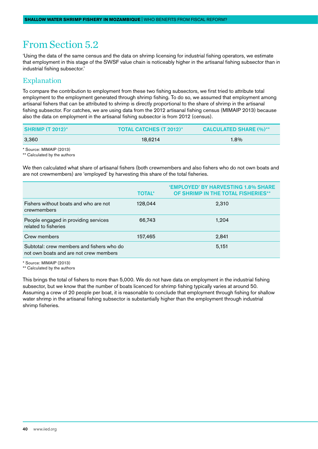#### From Section 5.2

'Using the data of the same census and the data on shrimp licensing for industrial fishing operators, we estimate that employment in this stage of the SWSF value chain is noticeably higher in the artisanal fishing subsector than in industrial fishing subsector.'

#### Explanation

To compare the contribution to employment from these two fishing subsectors, we first tried to attribute total employment to the employment generated through shrimp fishing. To do so, we assumed that employment among artisanal fishers that can be attributed to shrimp is directly proportional to the share of shrimp in the artisanal fishing subsector. For catches, we are using data from the 2012 artisanal fishing census (MIMAIP 2013) because also the data on employment in the artisanal fishing subsector is from 2012 (census).

| SHRIMP $(T 2012)^*$     | <b>TOTAL CATCHES (T 2012)*</b> | <b>CALCULATED SHARE (%)**</b> |
|-------------------------|--------------------------------|-------------------------------|
| 3.360                   | 18.6214                        | $1.8\%$                       |
| * Source: MIMAIP (2013) |                                |                               |

\*\* Calculated by the authors

We then calculated what share of artisanal fishers (both crewmembers and also fishers who do not own boats and are not crewmembers) are 'employed' by harvesting this share of the total fisheries.

|                                                                                     | <b>TOTAL*</b> | 'EMPLOYED' BY HARVESTING 1.8% SHARE<br>OF SHRIMP IN THE TOTAL FISHERIES** |
|-------------------------------------------------------------------------------------|---------------|---------------------------------------------------------------------------|
| Fishers without boats and who are not<br>crewmembers                                | 128.044       | 2,310                                                                     |
| People engaged in providing services<br>related to fisheries                        | 66,743        | 1,204                                                                     |
| Crew members                                                                        | 157,465       | 2,841                                                                     |
| Subtotal: crew members and fishers who do<br>not own boats and are not crew members |               | 5,151                                                                     |

\* Source: MIMAIP (2013)

\*\* Calculated by the authors

This brings the total of fishers to more than 5,000. We do not have data on employment in the industrial fishing subsector, but we know that the number of boats licenced for shrimp fishing typically varies at around 50. Assuming a crew of 20 people per boat, it is reasonable to conclude that employment through fishing for shallow water shrimp in the artisanal fishing subsector is substantially higher than the employment through industrial shrimp fisheries.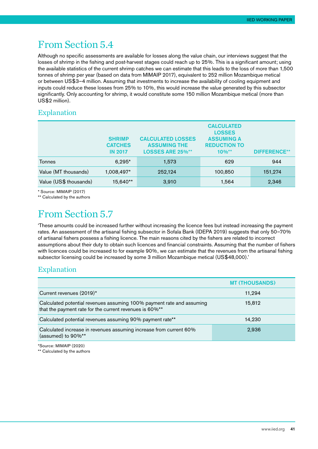#### From Section 5.4

Although no specific assessments are available for losses along the value chain, our interviews suggest that the losses of shrimp in the fishing and post-harvest stages could reach up to 25%. This is a significant amount; using the available statistics of the current shrimp catches we can estimate that this leads to the loss of more than 1,500 tonnes of shrimp per year (based on data from MIMAIP 2017), equivalent to 252 million Mozambique metical or between US\$3–4 million. Assuming that investments to increase the availability of cooling equipment and inputs could reduce these losses from 25% to 10%, this would increase the value generated by this subsector significantly. Only accounting for shrimp, it would constitute some 150 million Mozambique metical (more than US\$2 million).

#### Explanation

|                        | <b>SHRIMP</b><br><b>CATCHES</b><br><b>IN 2017</b> | <b>CALCULATED LOSSES</b><br><b>ASSUMING THE</b><br><b>LOSSES ARE 25%**</b> | <b>CALCULATED</b><br><b>LOSSES</b><br><b>ASSUMING A</b><br><b>REDUCTION TO</b><br>$10\%$ ** | <b>DIFFERENCE**</b> |
|------------------------|---------------------------------------------------|----------------------------------------------------------------------------|---------------------------------------------------------------------------------------------|---------------------|
| Tonnes                 | $6,295*$                                          | 1.573                                                                      | 629                                                                                         | 944                 |
| Value (MT thousands)   | 1,008,497*                                        | 252,124                                                                    | 100,850                                                                                     | 151,274             |
| Value (US\$ thousands) | 15,640**                                          | 3,910                                                                      | 1,564                                                                                       | 2,346               |

\* Source: MIMAIP (2017)

\*\* Calculated by the authors

#### From Section 5.7

'These amounts could be increased further without increasing the licence fees but instead increasing the payment rates. An assessment of the artisanal fishing subsector in Sofala Bank (IDEPA 2019) suggests that only 50–70% of artisanal fishers possess a fishing licence. The main reasons cited by the fishers are related to incorrect assumptions about their duty to obtain such licences and financial constraints. Assuming that the number of fishers with licences could be increased to for example 90%, we can estimate that the revenues from the artisanal fishing subsector licensing could be increased by some 3 million Mozambique metical (US\$48,000).'

#### Explanation

|                                                                                                                                  | <b>MT (THOUSANDS)</b> |
|----------------------------------------------------------------------------------------------------------------------------------|-----------------------|
| Current revenues (2019)*                                                                                                         | 11,294                |
| Calculated potential revenues assuming 100% payment rate and assuming<br>that the payment rate for the current revenues is 60%** | 15,812                |
| Calculated potential revenues assuming 90% payment rate**                                                                        | 14,230                |
| Calculated increase in revenues assuming increase from current 60%<br>(assumed) to 90%**                                         | 2,936                 |

\*Source: MIMAIP (2020)

\*\* Calculated by the authors